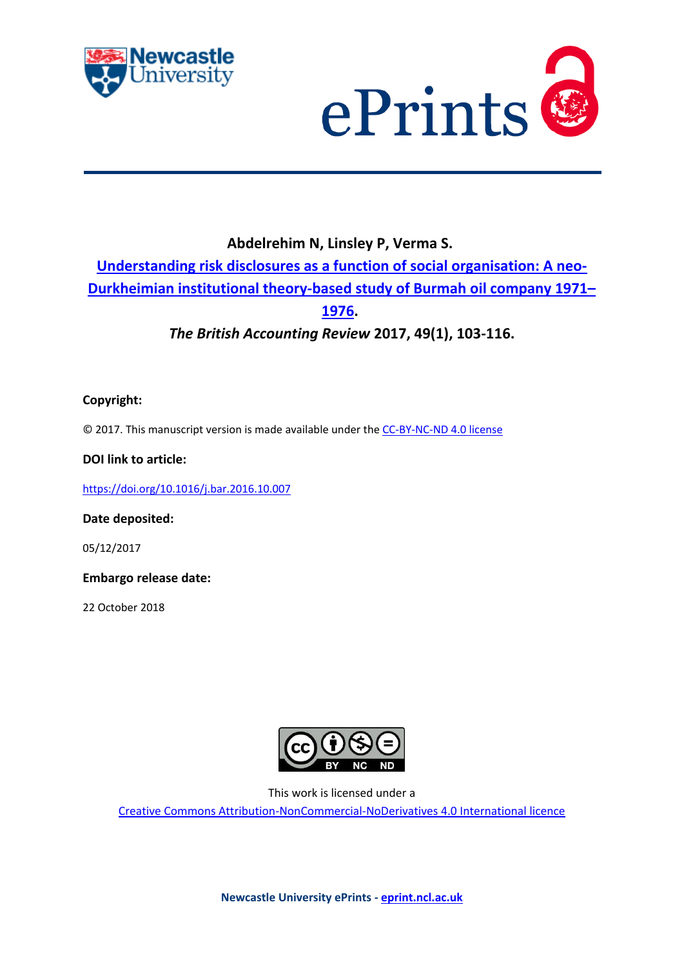



# **Abdelrehim N, Linsley P, Verma S. [Understanding risk disclosures as a function of social organisation: A neo-](https://myimpact.ncl.ac.uk/ViewPublication.aspx?id=243511)[Durkheimian institutional theory-based study of Burmah oil company 1971](https://myimpact.ncl.ac.uk/ViewPublication.aspx?id=243511)– [1976.](https://myimpact.ncl.ac.uk/ViewPublication.aspx?id=243511)**

*The British Accounting Review* **2017, 49(1), 103-116.**

# **Copyright:**

© 2017. This manuscript version is made available under the [CC-BY-NC-ND 4.0 license](http://creativecommons.org/licenses/by-nc-nd/4.0/)

## **DOI link to article:**

<https://doi.org/10.1016/j.bar.2016.10.007>

## **Date deposited:**

05/12/2017

**Embargo release date:**

22 October 2018



This work is licensed under a

[Creative Commons Attribution-NonCommercial-NoDerivatives 4.0 International licence](https://creativecommons.org/licenses/by-nc-nd/4.0/)

**Newcastle University ePrints - [eprint.ncl.ac.uk](http://eprint.ncl.ac.uk/)**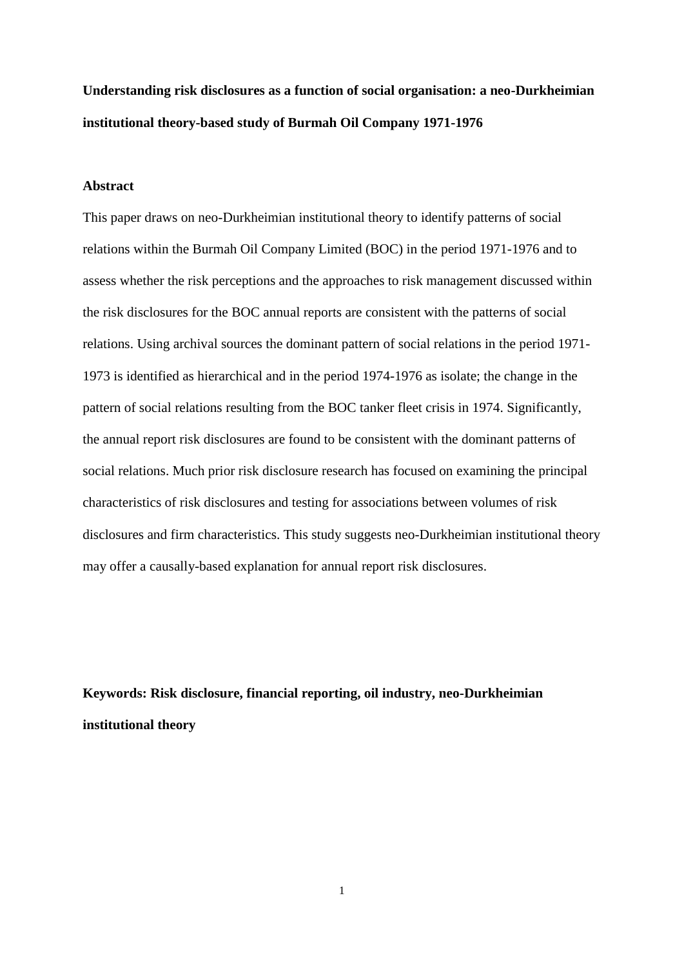**Understanding risk disclosures as a function of social organisation: a neo-Durkheimian institutional theory-based study of Burmah Oil Company 1971-1976**

#### **Abstract**

This paper draws on neo-Durkheimian institutional theory to identify patterns of social relations within the Burmah Oil Company Limited (BOC) in the period 1971-1976 and to assess whether the risk perceptions and the approaches to risk management discussed within the risk disclosures for the BOC annual reports are consistent with the patterns of social relations. Using archival sources the dominant pattern of social relations in the period 1971- 1973 is identified as hierarchical and in the period 1974-1976 as isolate; the change in the pattern of social relations resulting from the BOC tanker fleet crisis in 1974. Significantly, the annual report risk disclosures are found to be consistent with the dominant patterns of social relations. Much prior risk disclosure research has focused on examining the principal characteristics of risk disclosures and testing for associations between volumes of risk disclosures and firm characteristics. This study suggests neo-Durkheimian institutional theory may offer a causally-based explanation for annual report risk disclosures.

**Keywords: Risk disclosure, financial reporting, oil industry, neo-Durkheimian institutional theory**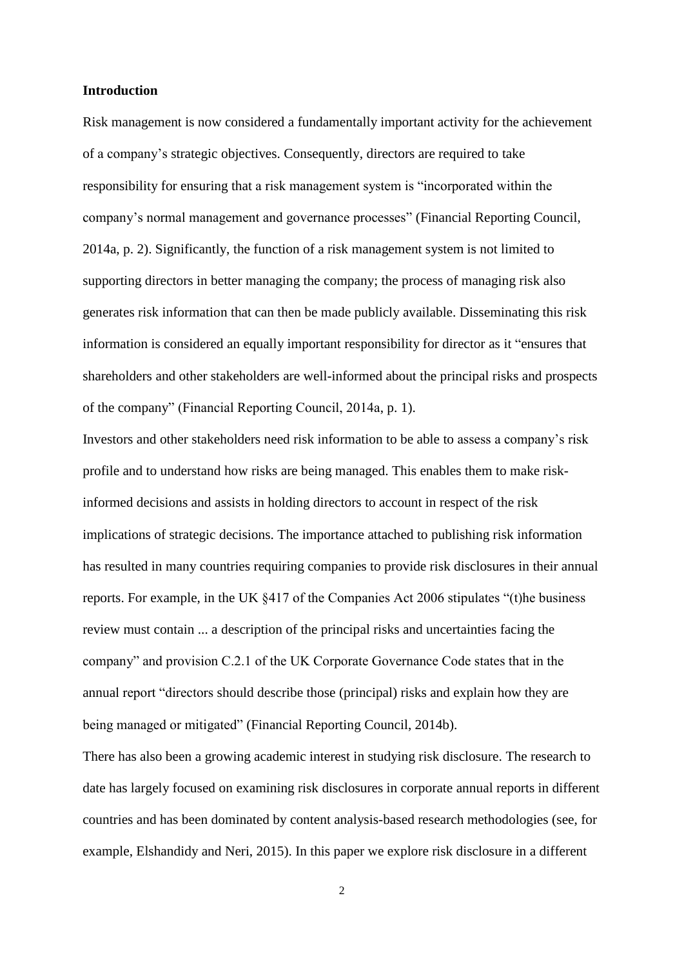#### **Introduction**

Risk management is now considered a fundamentally important activity for the achievement of a company's strategic objectives. Consequently, directors are required to take responsibility for ensuring that a risk management system is "incorporated within the company's normal management and governance processes" (Financial Reporting Council, 2014a, p. 2). Significantly, the function of a risk management system is not limited to supporting directors in better managing the company; the process of managing risk also generates risk information that can then be made publicly available. Disseminating this risk information is considered an equally important responsibility for director as it "ensures that shareholders and other stakeholders are well-informed about the principal risks and prospects of the company" (Financial Reporting Council, 2014a, p. 1).

Investors and other stakeholders need risk information to be able to assess a company's risk profile and to understand how risks are being managed. This enables them to make riskinformed decisions and assists in holding directors to account in respect of the risk implications of strategic decisions. The importance attached to publishing risk information has resulted in many countries requiring companies to provide risk disclosures in their annual reports. For example, in the UK §417 of the Companies Act 2006 stipulates "(t)he business review must contain ... a description of the principal risks and uncertainties facing the company" and provision C.2.1 of the UK Corporate Governance Code states that in the annual report "directors should describe those (principal) risks and explain how they are being managed or mitigated" (Financial Reporting Council, 2014b).

There has also been a growing academic interest in studying risk disclosure. The research to date has largely focused on examining risk disclosures in corporate annual reports in different countries and has been dominated by content analysis-based research methodologies (see, for example, Elshandidy and Neri, 2015). In this paper we explore risk disclosure in a different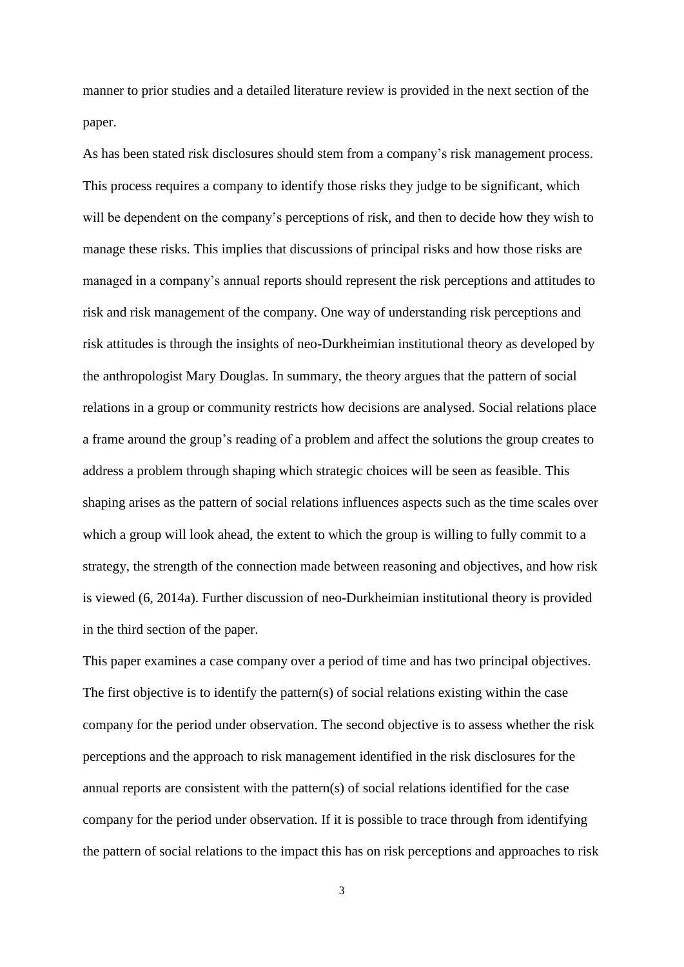manner to prior studies and a detailed literature review is provided in the next section of the paper.

As has been stated risk disclosures should stem from a company's risk management process. This process requires a company to identify those risks they judge to be significant, which will be dependent on the company's perceptions of risk, and then to decide how they wish to manage these risks. This implies that discussions of principal risks and how those risks are managed in a company's annual reports should represent the risk perceptions and attitudes to risk and risk management of the company. One way of understanding risk perceptions and risk attitudes is through the insights of neo-Durkheimian institutional theory as developed by the anthropologist Mary Douglas. In summary, the theory argues that the pattern of social relations in a group or community restricts how decisions are analysed. Social relations place a frame around the group's reading of a problem and affect the solutions the group creates to address a problem through shaping which strategic choices will be seen as feasible. This shaping arises as the pattern of social relations influences aspects such as the time scales over which a group will look ahead, the extent to which the group is willing to fully commit to a strategy, the strength of the connection made between reasoning and objectives, and how risk is viewed (6, 2014a). Further discussion of neo-Durkheimian institutional theory is provided in the third section of the paper.

This paper examines a case company over a period of time and has two principal objectives. The first objective is to identify the pattern(s) of social relations existing within the case company for the period under observation. The second objective is to assess whether the risk perceptions and the approach to risk management identified in the risk disclosures for the annual reports are consistent with the pattern(s) of social relations identified for the case company for the period under observation. If it is possible to trace through from identifying the pattern of social relations to the impact this has on risk perceptions and approaches to risk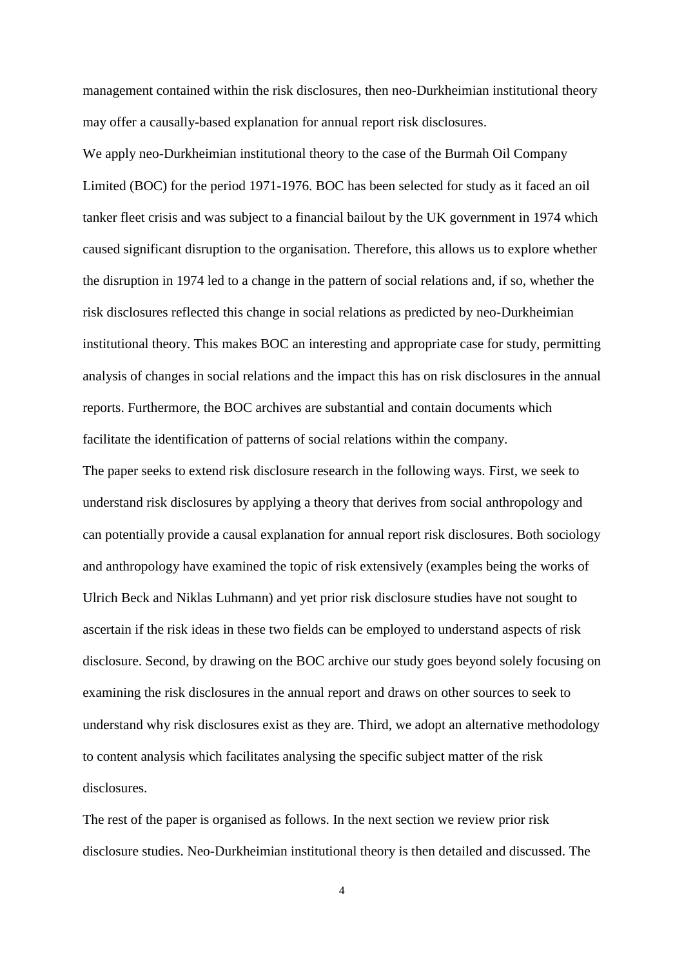management contained within the risk disclosures, then neo-Durkheimian institutional theory may offer a causally-based explanation for annual report risk disclosures.

We apply neo-Durkheimian institutional theory to the case of the Burmah Oil Company Limited (BOC) for the period 1971-1976. BOC has been selected for study as it faced an oil tanker fleet crisis and was subject to a financial bailout by the UK government in 1974 which caused significant disruption to the organisation. Therefore, this allows us to explore whether the disruption in 1974 led to a change in the pattern of social relations and, if so, whether the risk disclosures reflected this change in social relations as predicted by neo-Durkheimian institutional theory. This makes BOC an interesting and appropriate case for study, permitting analysis of changes in social relations and the impact this has on risk disclosures in the annual reports. Furthermore, the BOC archives are substantial and contain documents which facilitate the identification of patterns of social relations within the company.

The paper seeks to extend risk disclosure research in the following ways. First, we seek to understand risk disclosures by applying a theory that derives from social anthropology and can potentially provide a causal explanation for annual report risk disclosures. Both sociology and anthropology have examined the topic of risk extensively (examples being the works of Ulrich Beck and Niklas Luhmann) and yet prior risk disclosure studies have not sought to ascertain if the risk ideas in these two fields can be employed to understand aspects of risk disclosure. Second, by drawing on the BOC archive our study goes beyond solely focusing on examining the risk disclosures in the annual report and draws on other sources to seek to understand why risk disclosures exist as they are. Third, we adopt an alternative methodology to content analysis which facilitates analysing the specific subject matter of the risk disclosures.

The rest of the paper is organised as follows. In the next section we review prior risk disclosure studies. Neo-Durkheimian institutional theory is then detailed and discussed. The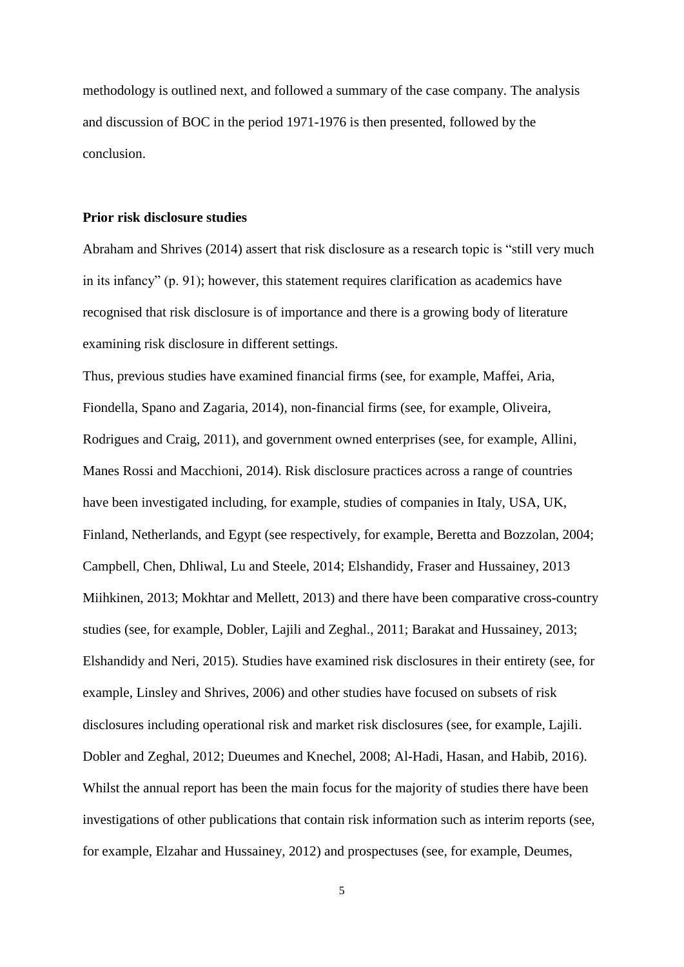methodology is outlined next, and followed a summary of the case company. The analysis and discussion of BOC in the period 1971-1976 is then presented, followed by the conclusion.

#### **Prior risk disclosure studies**

Abraham and Shrives (2014) assert that risk disclosure as a research topic is "still very much in its infancy" (p. 91); however, this statement requires clarification as academics have recognised that risk disclosure is of importance and there is a growing body of literature examining risk disclosure in different settings.

Thus, previous studies have examined financial firms (see, for example, Maffei, Aria, Fiondella, Spano and Zagaria, 2014), non-financial firms (see, for example, Oliveira, Rodrigues and Craig, 2011), and government owned enterprises (see, for example, Allini, Manes Rossi and Macchioni, 2014). Risk disclosure practices across a range of countries have been investigated including, for example, studies of companies in Italy, USA, UK, Finland, Netherlands, and Egypt (see respectively, for example, Beretta and Bozzolan, 2004; Campbell, Chen, Dhliwal, Lu and Steele, 2014; Elshandidy, Fraser and Hussainey, 2013 Miihkinen, 2013; Mokhtar and Mellett, 2013) and there have been comparative cross-country studies (see, for example, Dobler, Lajili and Zeghal., 2011; Barakat and Hussainey, 2013; Elshandidy and Neri, 2015). Studies have examined risk disclosures in their entirety (see, for example, Linsley and Shrives, 2006) and other studies have focused on subsets of risk disclosures including operational risk and market risk disclosures (see, for example, Lajili. Dobler and Zeghal, 2012; Dueumes and Knechel, 2008; Al-Hadi, Hasan, and Habib, 2016). Whilst the annual report has been the main focus for the majority of studies there have been investigations of other publications that contain risk information such as interim reports (see, for example, Elzahar and Hussainey, 2012) and prospectuses (see, for example, Deumes,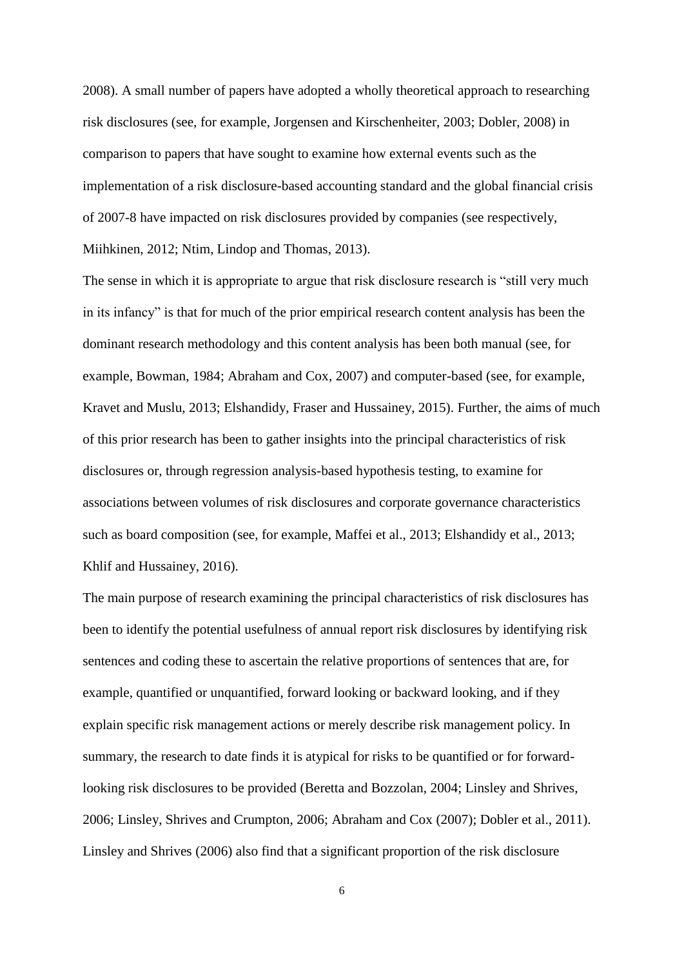2008). A small number of papers have adopted a wholly theoretical approach to researching risk disclosures (see, for example, Jorgensen and Kirschenheiter, 2003; Dobler, 2008) in comparison to papers that have sought to examine how external events such as the implementation of a risk disclosure-based accounting standard and the global financial crisis of 2007-8 have impacted on risk disclosures provided by companies (see respectively, Miihkinen, 2012; Ntim, Lindop and Thomas, 2013).

The sense in which it is appropriate to argue that risk disclosure research is "still very much in its infancy" is that for much of the prior empirical research content analysis has been the dominant research methodology and this content analysis has been both manual (see, for example, Bowman, 1984; Abraham and Cox, 2007) and computer-based (see, for example, Kravet and Muslu, 2013; Elshandidy, Fraser and Hussainey, 2015). Further, the aims of much of this prior research has been to gather insights into the principal characteristics of risk disclosures or, through regression analysis-based hypothesis testing, to examine for associations between volumes of risk disclosures and corporate governance characteristics such as board composition (see, for example, Maffei et al., 2013; Elshandidy et al., 2013; Khlif and Hussainey, 2016).

The main purpose of research examining the principal characteristics of risk disclosures has been to identify the potential usefulness of annual report risk disclosures by identifying risk sentences and coding these to ascertain the relative proportions of sentences that are, for example, quantified or unquantified, forward looking or backward looking, and if they explain specific risk management actions or merely describe risk management policy. In summary, the research to date finds it is atypical for risks to be quantified or for forwardlooking risk disclosures to be provided (Beretta and Bozzolan, 2004; Linsley and Shrives, 2006; Linsley, Shrives and Crumpton, 2006; Abraham and Cox (2007); Dobler et al., 2011). Linsley and Shrives (2006) also find that a significant proportion of the risk disclosure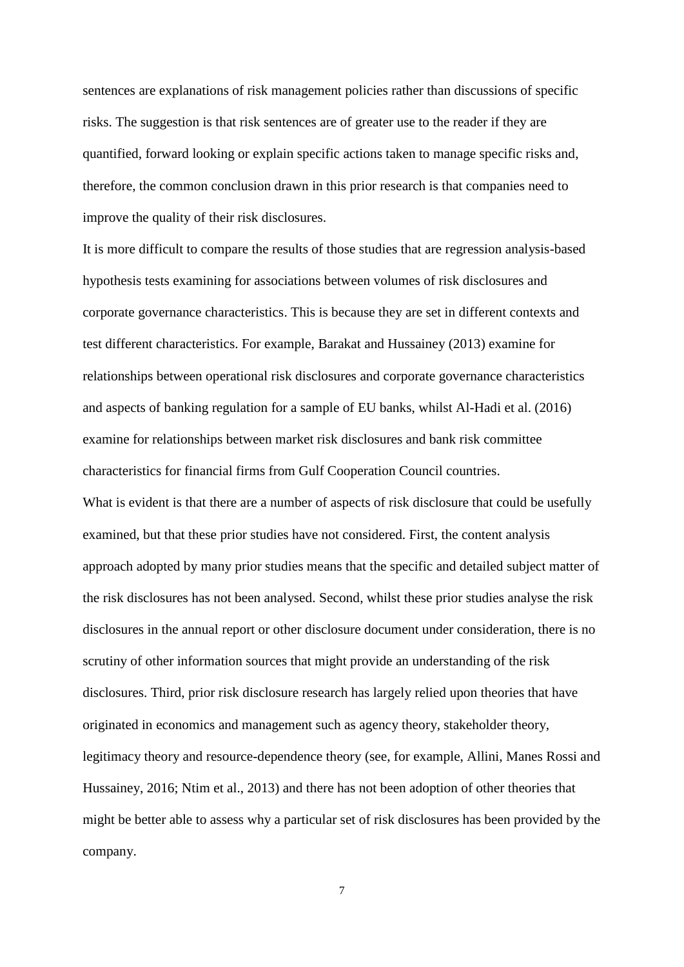sentences are explanations of risk management policies rather than discussions of specific risks. The suggestion is that risk sentences are of greater use to the reader if they are quantified, forward looking or explain specific actions taken to manage specific risks and, therefore, the common conclusion drawn in this prior research is that companies need to improve the quality of their risk disclosures.

It is more difficult to compare the results of those studies that are regression analysis-based hypothesis tests examining for associations between volumes of risk disclosures and corporate governance characteristics. This is because they are set in different contexts and test different characteristics. For example, Barakat and Hussainey (2013) examine for relationships between operational risk disclosures and corporate governance characteristics and aspects of banking regulation for a sample of EU banks, whilst Al-Hadi et al. (2016) examine for relationships between market risk disclosures and bank risk committee characteristics for financial firms from Gulf Cooperation Council countries. What is evident is that there are a number of aspects of risk disclosure that could be usefully examined, but that these prior studies have not considered. First, the content analysis approach adopted by many prior studies means that the specific and detailed subject matter of the risk disclosures has not been analysed. Second, whilst these prior studies analyse the risk disclosures in the annual report or other disclosure document under consideration, there is no scrutiny of other information sources that might provide an understanding of the risk disclosures. Third, prior risk disclosure research has largely relied upon theories that have originated in economics and management such as agency theory, stakeholder theory, legitimacy theory and resource-dependence theory (see, for example, Allini, Manes Rossi and Hussainey, 2016; Ntim et al., 2013) and there has not been adoption of other theories that might be better able to assess why a particular set of risk disclosures has been provided by the company.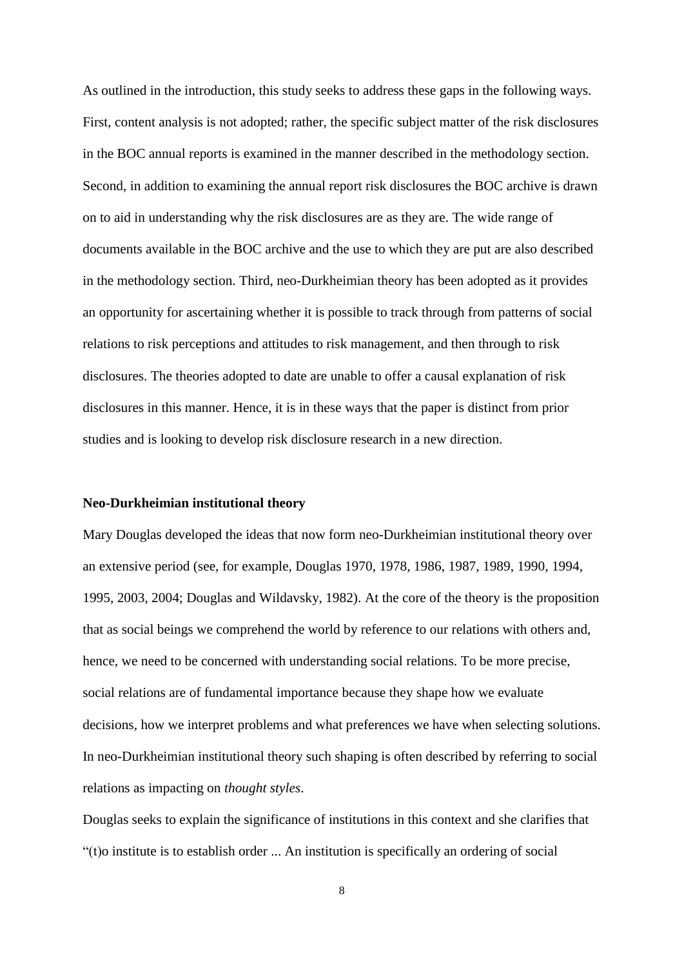As outlined in the introduction, this study seeks to address these gaps in the following ways. First, content analysis is not adopted; rather, the specific subject matter of the risk disclosures in the BOC annual reports is examined in the manner described in the methodology section. Second, in addition to examining the annual report risk disclosures the BOC archive is drawn on to aid in understanding why the risk disclosures are as they are. The wide range of documents available in the BOC archive and the use to which they are put are also described in the methodology section. Third, neo-Durkheimian theory has been adopted as it provides an opportunity for ascertaining whether it is possible to track through from patterns of social relations to risk perceptions and attitudes to risk management, and then through to risk disclosures. The theories adopted to date are unable to offer a causal explanation of risk disclosures in this manner. Hence, it is in these ways that the paper is distinct from prior studies and is looking to develop risk disclosure research in a new direction.

#### **Neo-Durkheimian institutional theory**

Mary Douglas developed the ideas that now form neo-Durkheimian institutional theory over an extensive period (see, for example, Douglas 1970, 1978, 1986, 1987, 1989, 1990, 1994, 1995, 2003, 2004; Douglas and Wildavsky, 1982). At the core of the theory is the proposition that as social beings we comprehend the world by reference to our relations with others and, hence, we need to be concerned with understanding social relations. To be more precise, social relations are of fundamental importance because they shape how we evaluate decisions, how we interpret problems and what preferences we have when selecting solutions. In neo-Durkheimian institutional theory such shaping is often described by referring to social relations as impacting on *thought styles*.

Douglas seeks to explain the significance of institutions in this context and she clarifies that "(t)o institute is to establish order ... An institution is specifically an ordering of social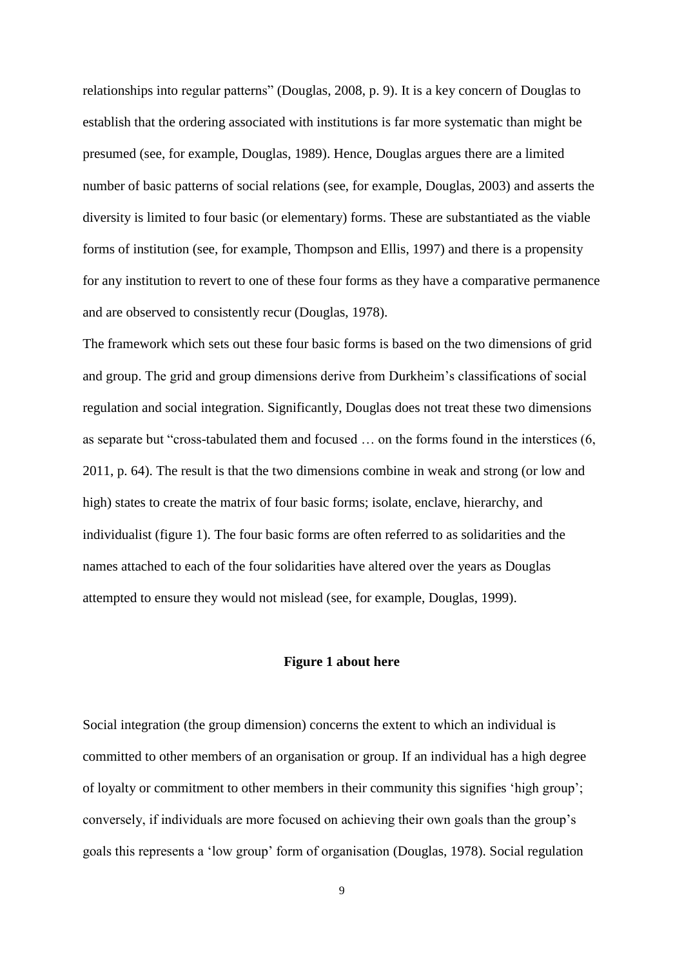relationships into regular patterns" (Douglas, 2008, p. 9). It is a key concern of Douglas to establish that the ordering associated with institutions is far more systematic than might be presumed (see, for example, Douglas, 1989). Hence, Douglas argues there are a limited number of basic patterns of social relations (see, for example, Douglas, 2003) and asserts the diversity is limited to four basic (or elementary) forms. These are substantiated as the viable forms of institution (see, for example, Thompson and Ellis, 1997) and there is a propensity for any institution to revert to one of these four forms as they have a comparative permanence and are observed to consistently recur (Douglas, 1978).

The framework which sets out these four basic forms is based on the two dimensions of grid and group. The grid and group dimensions derive from Durkheim's classifications of social regulation and social integration. Significantly, Douglas does not treat these two dimensions as separate but "cross-tabulated them and focused … on the forms found in the interstices (6, 2011, p. 64). The result is that the two dimensions combine in weak and strong (or low and high) states to create the matrix of four basic forms; isolate, enclave, hierarchy, and individualist (figure 1). The four basic forms are often referred to as solidarities and the names attached to each of the four solidarities have altered over the years as Douglas attempted to ensure they would not mislead (see, for example, Douglas, 1999).

#### **Figure 1 about here**

Social integration (the group dimension) concerns the extent to which an individual is committed to other members of an organisation or group. If an individual has a high degree of loyalty or commitment to other members in their community this signifies 'high group'; conversely, if individuals are more focused on achieving their own goals than the group's goals this represents a 'low group' form of organisation (Douglas, 1978). Social regulation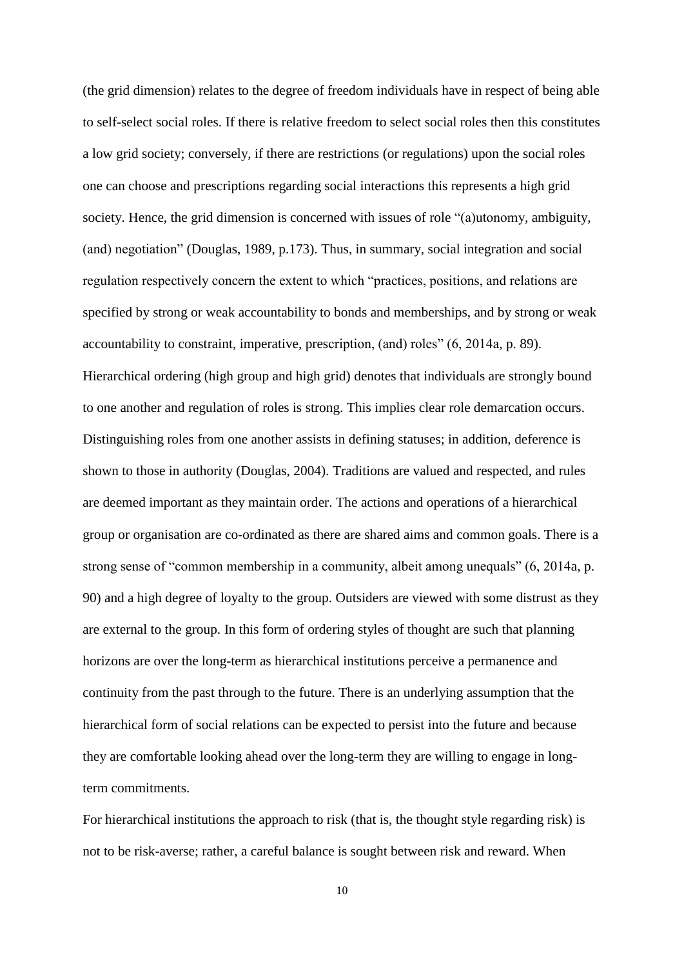(the grid dimension) relates to the degree of freedom individuals have in respect of being able to self-select social roles. If there is relative freedom to select social roles then this constitutes a low grid society; conversely, if there are restrictions (or regulations) upon the social roles one can choose and prescriptions regarding social interactions this represents a high grid society. Hence, the grid dimension is concerned with issues of role "(a)utonomy, ambiguity, (and) negotiation" (Douglas, 1989, p.173). Thus, in summary, social integration and social regulation respectively concern the extent to which "practices, positions, and relations are specified by strong or weak accountability to bonds and memberships, and by strong or weak accountability to constraint, imperative, prescription, (and) roles" (6, 2014a, p. 89). Hierarchical ordering (high group and high grid) denotes that individuals are strongly bound to one another and regulation of roles is strong. This implies clear role demarcation occurs. Distinguishing roles from one another assists in defining statuses; in addition, deference is shown to those in authority (Douglas, 2004). Traditions are valued and respected, and rules are deemed important as they maintain order. The actions and operations of a hierarchical group or organisation are co-ordinated as there are shared aims and common goals. There is a strong sense of "common membership in a community, albeit among unequals" (6, 2014a, p. 90) and a high degree of loyalty to the group. Outsiders are viewed with some distrust as they are external to the group. In this form of ordering styles of thought are such that planning horizons are over the long-term as hierarchical institutions perceive a permanence and continuity from the past through to the future. There is an underlying assumption that the hierarchical form of social relations can be expected to persist into the future and because they are comfortable looking ahead over the long-term they are willing to engage in longterm commitments.

For hierarchical institutions the approach to risk (that is, the thought style regarding risk) is not to be risk-averse; rather, a careful balance is sought between risk and reward. When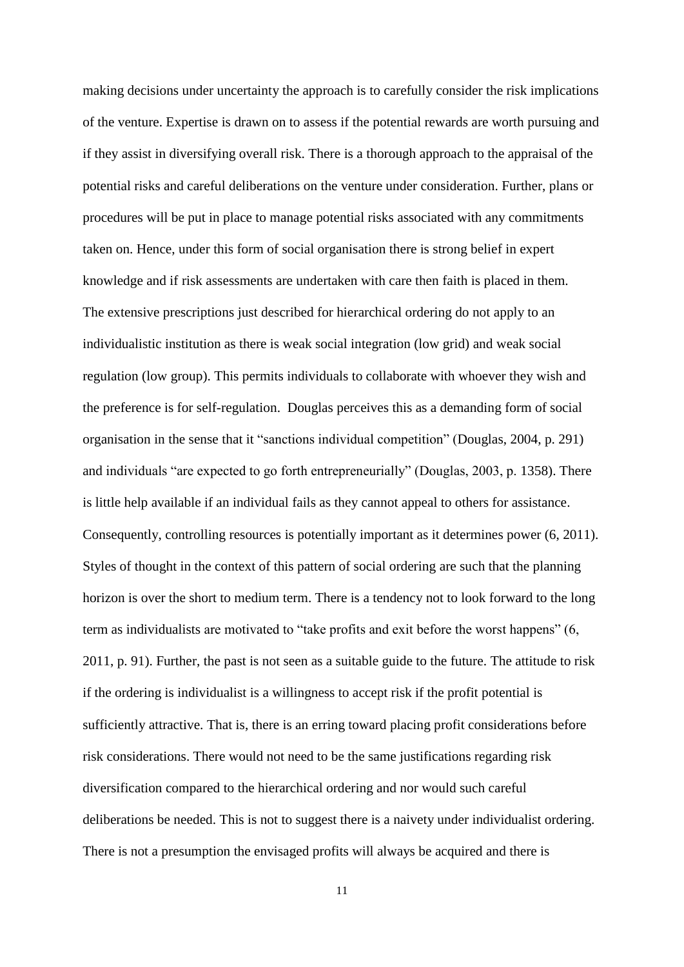making decisions under uncertainty the approach is to carefully consider the risk implications of the venture. Expertise is drawn on to assess if the potential rewards are worth pursuing and if they assist in diversifying overall risk. There is a thorough approach to the appraisal of the potential risks and careful deliberations on the venture under consideration. Further, plans or procedures will be put in place to manage potential risks associated with any commitments taken on. Hence, under this form of social organisation there is strong belief in expert knowledge and if risk assessments are undertaken with care then faith is placed in them. The extensive prescriptions just described for hierarchical ordering do not apply to an individualistic institution as there is weak social integration (low grid) and weak social regulation (low group). This permits individuals to collaborate with whoever they wish and the preference is for self-regulation. Douglas perceives this as a demanding form of social organisation in the sense that it "sanctions individual competition" (Douglas, 2004, p. 291) and individuals "are expected to go forth entrepreneurially" (Douglas, 2003, p. 1358). There is little help available if an individual fails as they cannot appeal to others for assistance. Consequently, controlling resources is potentially important as it determines power (6, 2011). Styles of thought in the context of this pattern of social ordering are such that the planning horizon is over the short to medium term. There is a tendency not to look forward to the long term as individualists are motivated to "take profits and exit before the worst happens" (6, 2011, p. 91). Further, the past is not seen as a suitable guide to the future. The attitude to risk if the ordering is individualist is a willingness to accept risk if the profit potential is sufficiently attractive. That is, there is an erring toward placing profit considerations before risk considerations. There would not need to be the same justifications regarding risk diversification compared to the hierarchical ordering and nor would such careful deliberations be needed. This is not to suggest there is a naivety under individualist ordering. There is not a presumption the envisaged profits will always be acquired and there is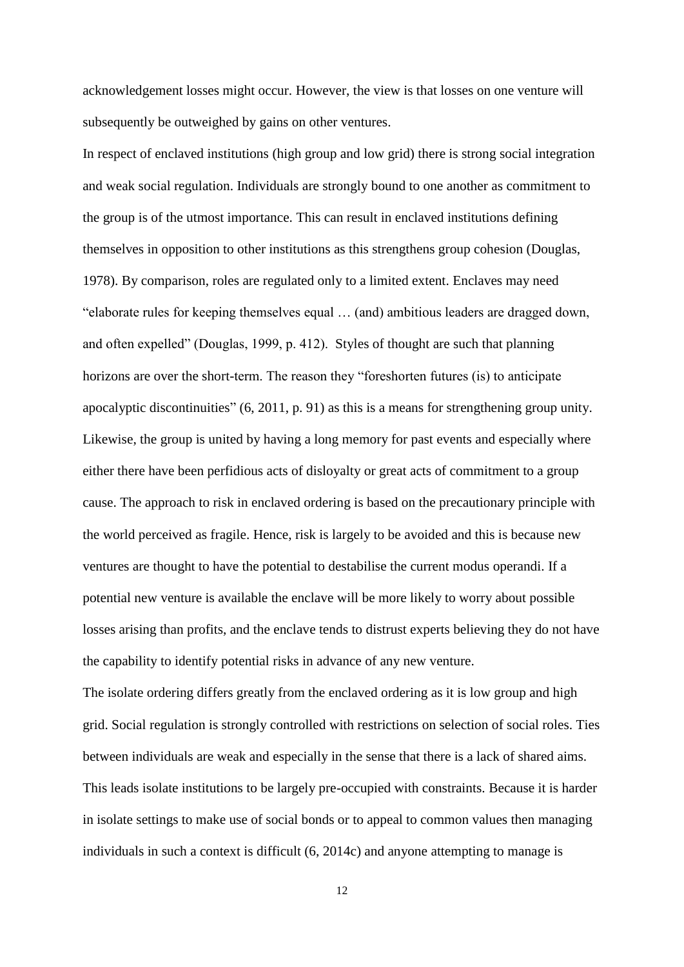acknowledgement losses might occur. However, the view is that losses on one venture will subsequently be outweighed by gains on other ventures.

In respect of enclaved institutions (high group and low grid) there is strong social integration and weak social regulation. Individuals are strongly bound to one another as commitment to the group is of the utmost importance. This can result in enclaved institutions defining themselves in opposition to other institutions as this strengthens group cohesion (Douglas, 1978). By comparison, roles are regulated only to a limited extent. Enclaves may need "elaborate rules for keeping themselves equal … (and) ambitious leaders are dragged down, and often expelled" (Douglas, 1999, p. 412). Styles of thought are such that planning horizons are over the short-term. The reason they "foreshorten futures (is) to anticipate apocalyptic discontinuities" (6, 2011, p. 91) as this is a means for strengthening group unity. Likewise, the group is united by having a long memory for past events and especially where either there have been perfidious acts of disloyalty or great acts of commitment to a group cause. The approach to risk in enclaved ordering is based on the precautionary principle with the world perceived as fragile. Hence, risk is largely to be avoided and this is because new ventures are thought to have the potential to destabilise the current modus operandi. If a potential new venture is available the enclave will be more likely to worry about possible losses arising than profits, and the enclave tends to distrust experts believing they do not have the capability to identify potential risks in advance of any new venture.

The isolate ordering differs greatly from the enclaved ordering as it is low group and high grid. Social regulation is strongly controlled with restrictions on selection of social roles. Ties between individuals are weak and especially in the sense that there is a lack of shared aims. This leads isolate institutions to be largely pre-occupied with constraints. Because it is harder in isolate settings to make use of social bonds or to appeal to common values then managing individuals in such a context is difficult (6, 2014c) and anyone attempting to manage is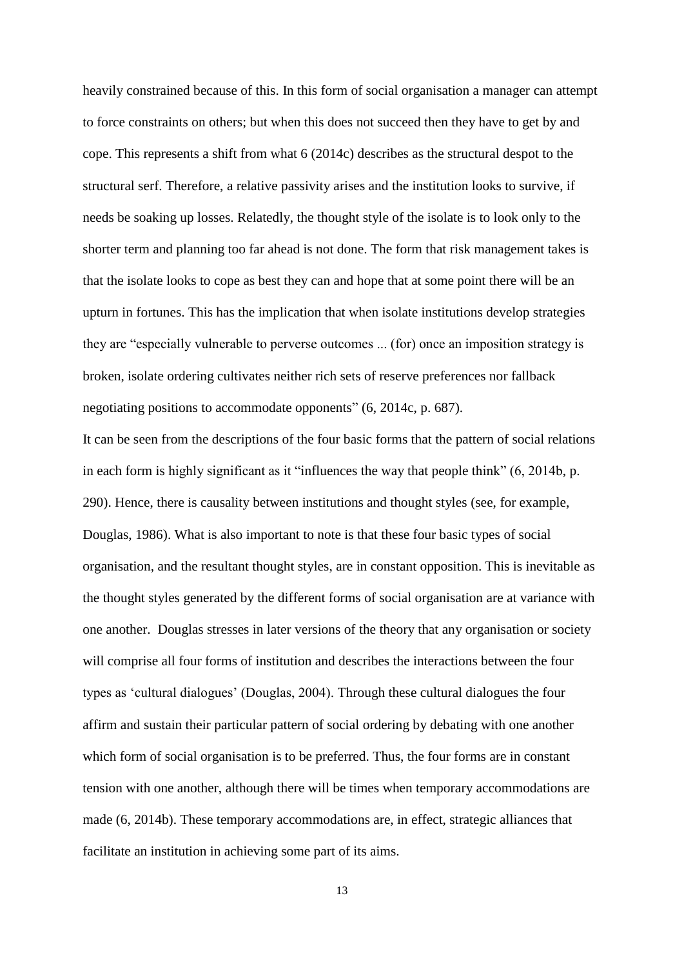heavily constrained because of this. In this form of social organisation a manager can attempt to force constraints on others; but when this does not succeed then they have to get by and cope. This represents a shift from what 6 (2014c) describes as the structural despot to the structural serf. Therefore, a relative passivity arises and the institution looks to survive, if needs be soaking up losses. Relatedly, the thought style of the isolate is to look only to the shorter term and planning too far ahead is not done. The form that risk management takes is that the isolate looks to cope as best they can and hope that at some point there will be an upturn in fortunes. This has the implication that when isolate institutions develop strategies they are "especially vulnerable to perverse outcomes ... (for) once an imposition strategy is broken, isolate ordering cultivates neither rich sets of reserve preferences nor fallback negotiating positions to accommodate opponents" (6, 2014c, p. 687).

It can be seen from the descriptions of the four basic forms that the pattern of social relations in each form is highly significant as it "influences the way that people think" (6, 2014b, p. 290). Hence, there is causality between institutions and thought styles (see, for example, Douglas, 1986). What is also important to note is that these four basic types of social organisation, and the resultant thought styles, are in constant opposition. This is inevitable as the thought styles generated by the different forms of social organisation are at variance with one another. Douglas stresses in later versions of the theory that any organisation or society will comprise all four forms of institution and describes the interactions between the four types as 'cultural dialogues' (Douglas, 2004). Through these cultural dialogues the four affirm and sustain their particular pattern of social ordering by debating with one another which form of social organisation is to be preferred. Thus, the four forms are in constant tension with one another, although there will be times when temporary accommodations are made (6, 2014b). These temporary accommodations are, in effect, strategic alliances that facilitate an institution in achieving some part of its aims.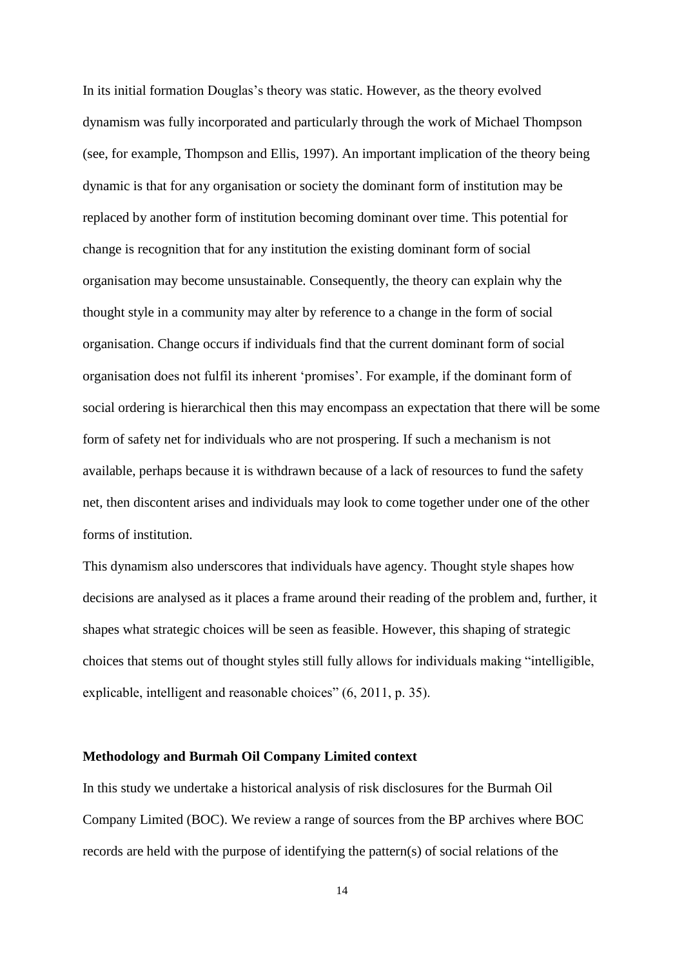In its initial formation Douglas's theory was static. However, as the theory evolved dynamism was fully incorporated and particularly through the work of Michael Thompson (see, for example, Thompson and Ellis, 1997). An important implication of the theory being dynamic is that for any organisation or society the dominant form of institution may be replaced by another form of institution becoming dominant over time. This potential for change is recognition that for any institution the existing dominant form of social organisation may become unsustainable. Consequently, the theory can explain why the thought style in a community may alter by reference to a change in the form of social organisation. Change occurs if individuals find that the current dominant form of social organisation does not fulfil its inherent 'promises'. For example, if the dominant form of social ordering is hierarchical then this may encompass an expectation that there will be some form of safety net for individuals who are not prospering. If such a mechanism is not available, perhaps because it is withdrawn because of a lack of resources to fund the safety net, then discontent arises and individuals may look to come together under one of the other forms of institution.

This dynamism also underscores that individuals have agency. Thought style shapes how decisions are analysed as it places a frame around their reading of the problem and, further, it shapes what strategic choices will be seen as feasible. However, this shaping of strategic choices that stems out of thought styles still fully allows for individuals making "intelligible, explicable, intelligent and reasonable choices" (6, 2011, p. 35).

#### **Methodology and Burmah Oil Company Limited context**

In this study we undertake a historical analysis of risk disclosures for the Burmah Oil Company Limited (BOC). We review a range of sources from the BP archives where BOC records are held with the purpose of identifying the pattern(s) of social relations of the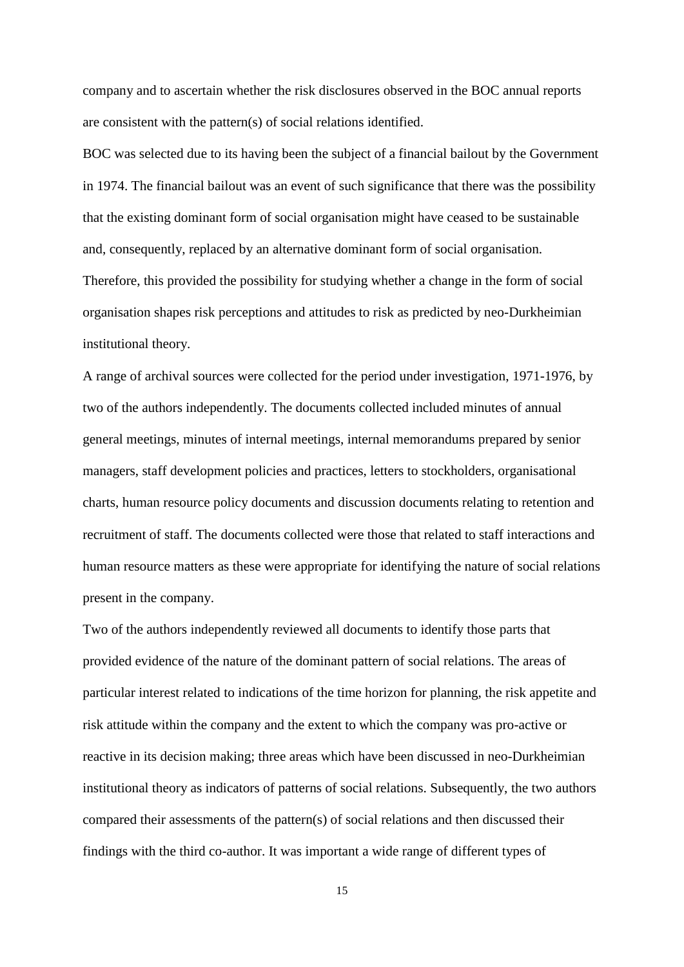company and to ascertain whether the risk disclosures observed in the BOC annual reports are consistent with the pattern(s) of social relations identified.

BOC was selected due to its having been the subject of a financial bailout by the Government in 1974. The financial bailout was an event of such significance that there was the possibility that the existing dominant form of social organisation might have ceased to be sustainable and, consequently, replaced by an alternative dominant form of social organisation. Therefore, this provided the possibility for studying whether a change in the form of social organisation shapes risk perceptions and attitudes to risk as predicted by neo-Durkheimian institutional theory.

A range of archival sources were collected for the period under investigation, 1971-1976, by two of the authors independently. The documents collected included minutes of annual general meetings, minutes of internal meetings, internal memorandums prepared by senior managers, staff development policies and practices, letters to stockholders, organisational charts, human resource policy documents and discussion documents relating to retention and recruitment of staff. The documents collected were those that related to staff interactions and human resource matters as these were appropriate for identifying the nature of social relations present in the company.

Two of the authors independently reviewed all documents to identify those parts that provided evidence of the nature of the dominant pattern of social relations. The areas of particular interest related to indications of the time horizon for planning, the risk appetite and risk attitude within the company and the extent to which the company was pro-active or reactive in its decision making; three areas which have been discussed in neo-Durkheimian institutional theory as indicators of patterns of social relations. Subsequently, the two authors compared their assessments of the pattern(s) of social relations and then discussed their findings with the third co-author. It was important a wide range of different types of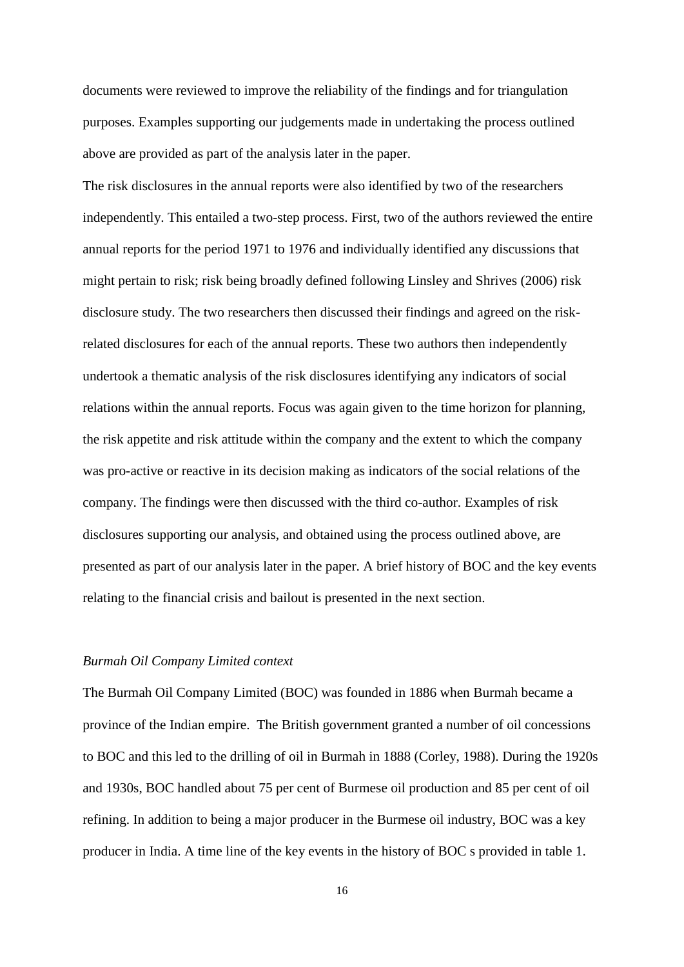documents were reviewed to improve the reliability of the findings and for triangulation purposes. Examples supporting our judgements made in undertaking the process outlined above are provided as part of the analysis later in the paper.

The risk disclosures in the annual reports were also identified by two of the researchers independently. This entailed a two-step process. First, two of the authors reviewed the entire annual reports for the period 1971 to 1976 and individually identified any discussions that might pertain to risk; risk being broadly defined following Linsley and Shrives (2006) risk disclosure study. The two researchers then discussed their findings and agreed on the riskrelated disclosures for each of the annual reports. These two authors then independently undertook a thematic analysis of the risk disclosures identifying any indicators of social relations within the annual reports. Focus was again given to the time horizon for planning, the risk appetite and risk attitude within the company and the extent to which the company was pro-active or reactive in its decision making as indicators of the social relations of the company. The findings were then discussed with the third co-author. Examples of risk disclosures supporting our analysis, and obtained using the process outlined above, are presented as part of our analysis later in the paper. A brief history of BOC and the key events relating to the financial crisis and bailout is presented in the next section.

#### *Burmah Oil Company Limited context*

The Burmah Oil Company Limited (BOC) was founded in 1886 when Burmah became a province of the Indian empire. The British government granted a number of oil concessions to BOC and this led to the drilling of oil in Burmah in 1888 (Corley, 1988). During the 1920s and 1930s, BOC handled about 75 per cent of Burmese oil production and 85 per cent of oil refining. In addition to being a major producer in the Burmese oil industry, BOC was a key producer in India. A time line of the key events in the history of BOC s provided in table 1.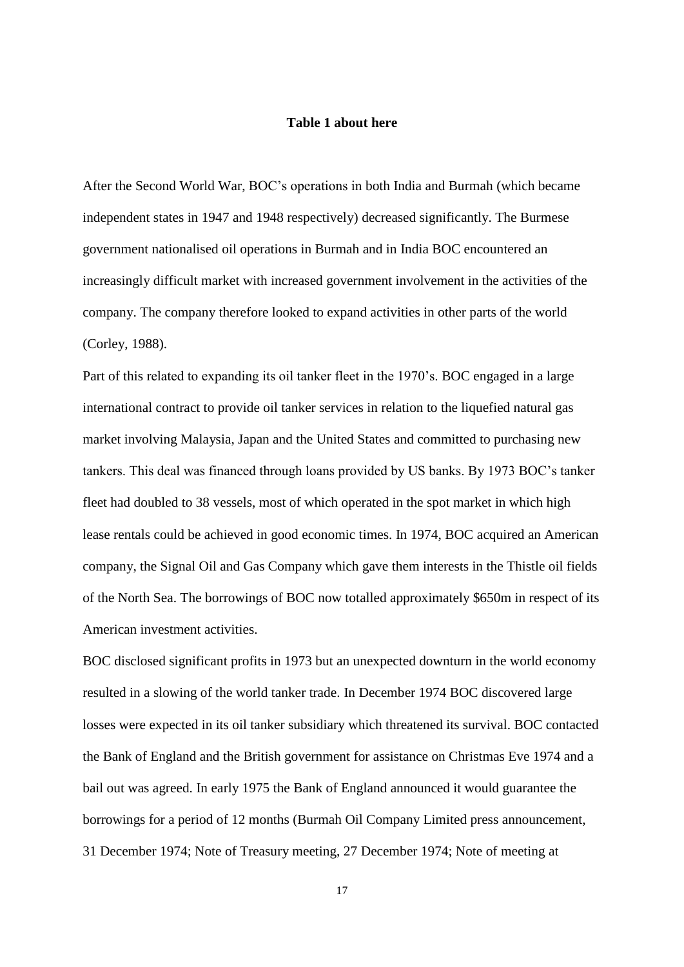#### **Table 1 about here**

After the Second World War, BOC's operations in both India and Burmah (which became independent states in 1947 and 1948 respectively) decreased significantly. The Burmese government nationalised oil operations in Burmah and in India BOC encountered an increasingly difficult market with increased government involvement in the activities of the company. The company therefore looked to expand activities in other parts of the world (Corley, 1988).

Part of this related to expanding its oil tanker fleet in the 1970's. BOC engaged in a large international contract to provide oil tanker services in relation to the liquefied natural gas market involving Malaysia, Japan and the United States and committed to purchasing new tankers. This deal was financed through loans provided by US banks. By 1973 BOC's tanker fleet had doubled to 38 vessels, most of which operated in the spot market in which high lease rentals could be achieved in good economic times. In 1974, BOC acquired an American company, the Signal Oil and Gas Company which gave them interests in the Thistle oil fields of the North Sea. The borrowings of BOC now totalled approximately \$650m in respect of its American investment activities.

BOC disclosed significant profits in 1973 but an unexpected downturn in the world economy resulted in a slowing of the world tanker trade. In December 1974 BOC discovered large losses were expected in its oil tanker subsidiary which threatened its survival. BOC contacted the Bank of England and the British government for assistance on Christmas Eve 1974 and a bail out was agreed. In early 1975 the Bank of England announced it would guarantee the borrowings for a period of 12 months (Burmah Oil Company Limited press announcement, 31 December 1974; Note of Treasury meeting, 27 December 1974; Note of meeting at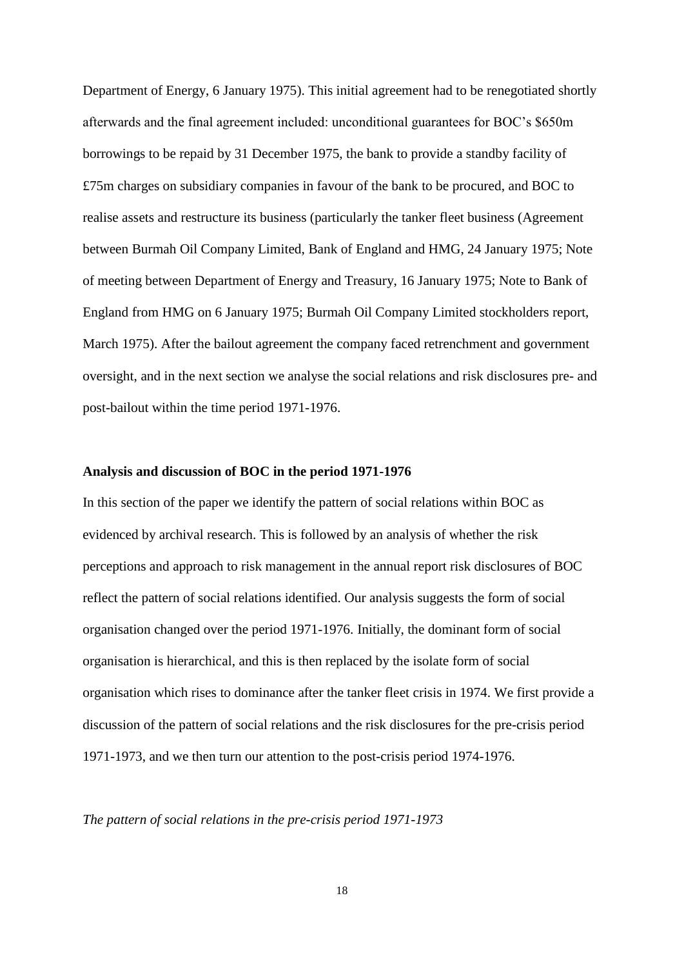Department of Energy, 6 January 1975). This initial agreement had to be renegotiated shortly afterwards and the final agreement included: unconditional guarantees for BOC's \$650m borrowings to be repaid by 31 December 1975, the bank to provide a standby facility of £75m charges on subsidiary companies in favour of the bank to be procured, and BOC to realise assets and restructure its business (particularly the tanker fleet business (Agreement between Burmah Oil Company Limited, Bank of England and HMG, 24 January 1975; Note of meeting between Department of Energy and Treasury, 16 January 1975; Note to Bank of England from HMG on 6 January 1975; Burmah Oil Company Limited stockholders report, March 1975). After the bailout agreement the company faced retrenchment and government oversight, and in the next section we analyse the social relations and risk disclosures pre- and post-bailout within the time period 1971-1976.

#### **Analysis and discussion of BOC in the period 1971-1976**

In this section of the paper we identify the pattern of social relations within BOC as evidenced by archival research. This is followed by an analysis of whether the risk perceptions and approach to risk management in the annual report risk disclosures of BOC reflect the pattern of social relations identified. Our analysis suggests the form of social organisation changed over the period 1971-1976. Initially, the dominant form of social organisation is hierarchical, and this is then replaced by the isolate form of social organisation which rises to dominance after the tanker fleet crisis in 1974. We first provide a discussion of the pattern of social relations and the risk disclosures for the pre-crisis period 1971-1973, and we then turn our attention to the post-crisis period 1974-1976.

*The pattern of social relations in the pre-crisis period 1971-1973*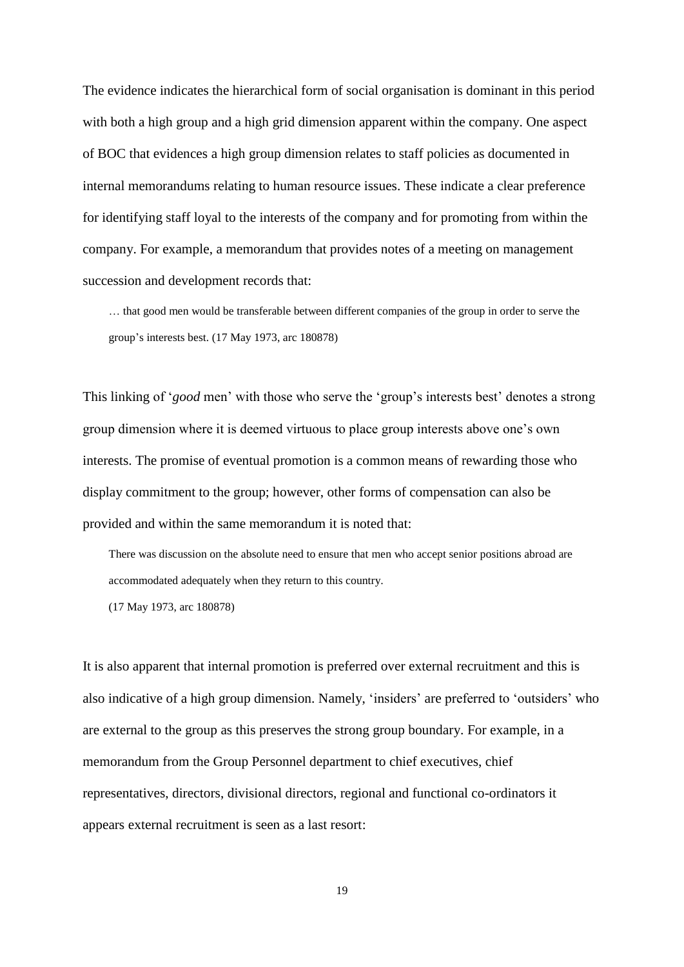The evidence indicates the hierarchical form of social organisation is dominant in this period with both a high group and a high grid dimension apparent within the company. One aspect of BOC that evidences a high group dimension relates to staff policies as documented in internal memorandums relating to human resource issues. These indicate a clear preference for identifying staff loyal to the interests of the company and for promoting from within the company. For example, a memorandum that provides notes of a meeting on management succession and development records that:

… that good men would be transferable between different companies of the group in order to serve the group's interests best. (17 May 1973, arc 180878)

This linking of '*good* men' with those who serve the 'group's interests best' denotes a strong group dimension where it is deemed virtuous to place group interests above one's own interests. The promise of eventual promotion is a common means of rewarding those who display commitment to the group; however, other forms of compensation can also be provided and within the same memorandum it is noted that:

There was discussion on the absolute need to ensure that men who accept senior positions abroad are accommodated adequately when they return to this country.

(17 May 1973, arc 180878)

It is also apparent that internal promotion is preferred over external recruitment and this is also indicative of a high group dimension. Namely, 'insiders' are preferred to 'outsiders' who are external to the group as this preserves the strong group boundary. For example, in a memorandum from the Group Personnel department to chief executives, chief representatives, directors, divisional directors, regional and functional co-ordinators it appears external recruitment is seen as a last resort: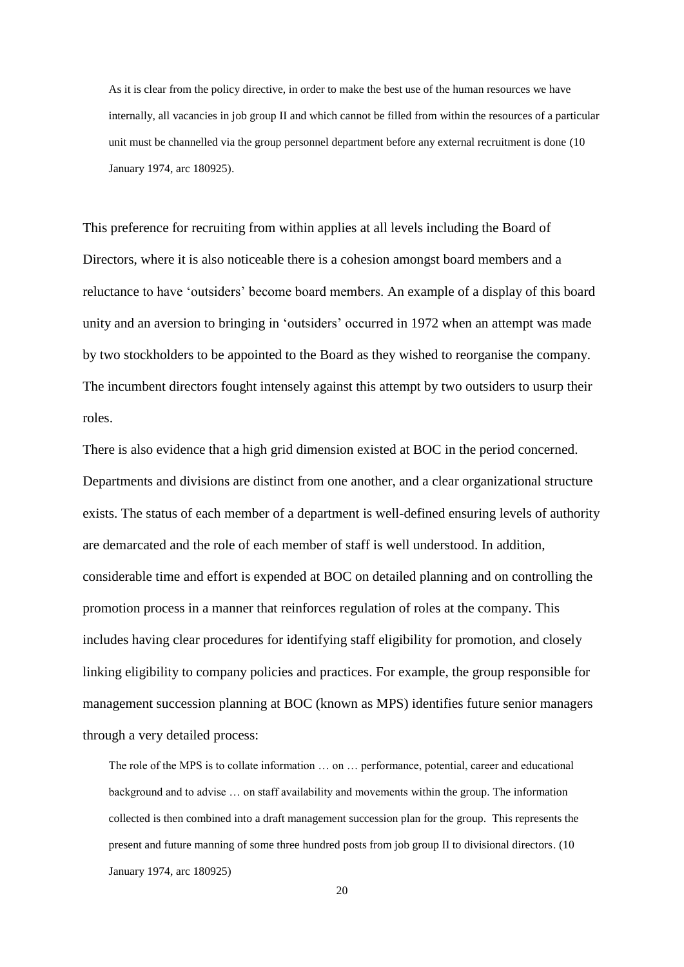As it is clear from the policy directive, in order to make the best use of the human resources we have internally, all vacancies in job group II and which cannot be filled from within the resources of a particular unit must be channelled via the group personnel department before any external recruitment is done (10 January 1974, arc 180925).

This preference for recruiting from within applies at all levels including the Board of Directors, where it is also noticeable there is a cohesion amongst board members and a reluctance to have 'outsiders' become board members. An example of a display of this board unity and an aversion to bringing in 'outsiders' occurred in 1972 when an attempt was made by two stockholders to be appointed to the Board as they wished to reorganise the company. The incumbent directors fought intensely against this attempt by two outsiders to usurp their roles.

There is also evidence that a high grid dimension existed at BOC in the period concerned. Departments and divisions are distinct from one another, and a clear organizational structure exists. The status of each member of a department is well-defined ensuring levels of authority are demarcated and the role of each member of staff is well understood. In addition, considerable time and effort is expended at BOC on detailed planning and on controlling the promotion process in a manner that reinforces regulation of roles at the company. This includes having clear procedures for identifying staff eligibility for promotion, and closely linking eligibility to company policies and practices. For example, the group responsible for management succession planning at BOC (known as MPS) identifies future senior managers through a very detailed process:

The role of the MPS is to collate information … on … performance, potential, career and educational background and to advise … on staff availability and movements within the group. The information collected is then combined into a draft management succession plan for the group. This represents the present and future manning of some three hundred posts from job group II to divisional directors. (10 January 1974, arc 180925)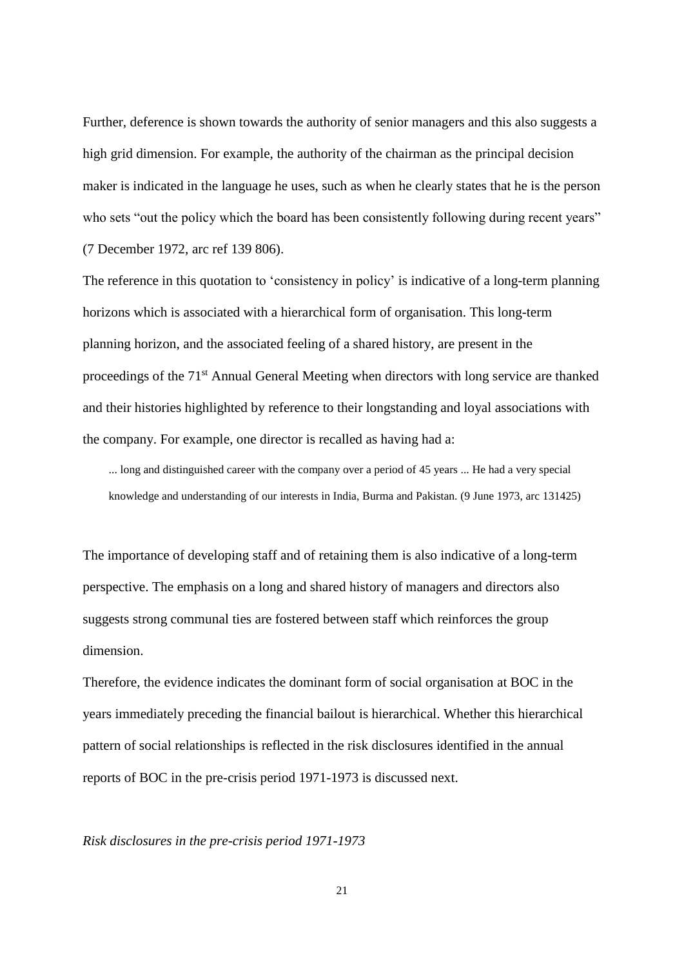Further, deference is shown towards the authority of senior managers and this also suggests a high grid dimension. For example, the authority of the chairman as the principal decision maker is indicated in the language he uses, such as when he clearly states that he is the person who sets "out the policy which the board has been consistently following during recent years" (7 December 1972, arc ref 139 806).

The reference in this quotation to 'consistency in policy' is indicative of a long-term planning horizons which is associated with a hierarchical form of organisation. This long-term planning horizon, and the associated feeling of a shared history, are present in the proceedings of the 71st Annual General Meeting when directors with long service are thanked and their histories highlighted by reference to their longstanding and loyal associations with the company. For example, one director is recalled as having had a:

... long and distinguished career with the company over a period of 45 years ... He had a very special knowledge and understanding of our interests in India, Burma and Pakistan. (9 June 1973, arc 131425)

The importance of developing staff and of retaining them is also indicative of a long-term perspective. The emphasis on a long and shared history of managers and directors also suggests strong communal ties are fostered between staff which reinforces the group dimension.

Therefore, the evidence indicates the dominant form of social organisation at BOC in the years immediately preceding the financial bailout is hierarchical. Whether this hierarchical pattern of social relationships is reflected in the risk disclosures identified in the annual reports of BOC in the pre-crisis period 1971-1973 is discussed next.

#### *Risk disclosures in the pre-crisis period 1971-1973*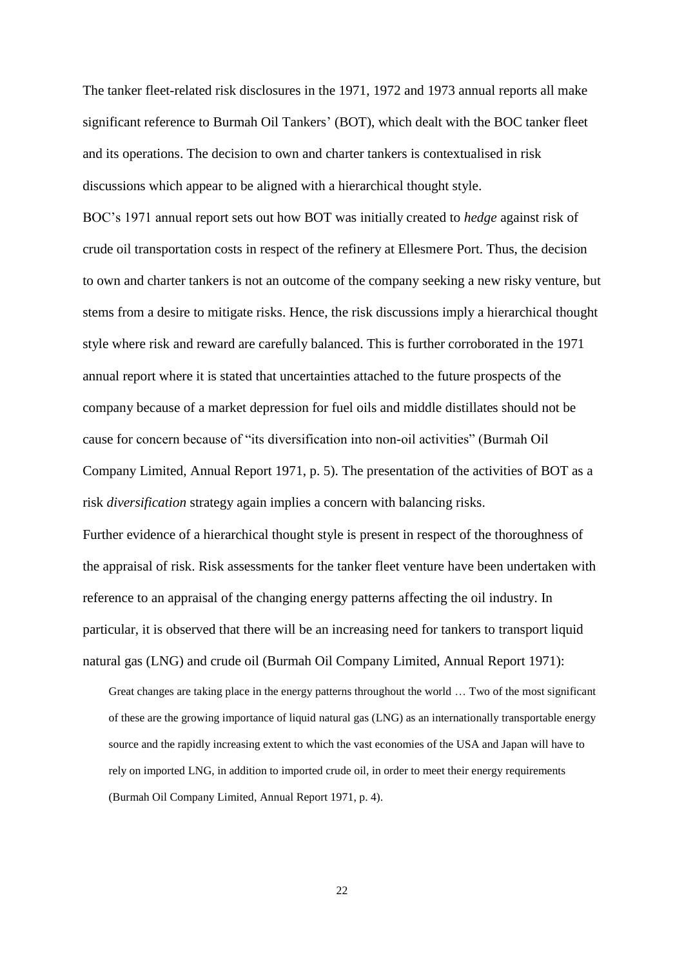The tanker fleet-related risk disclosures in the 1971, 1972 and 1973 annual reports all make significant reference to Burmah Oil Tankers' (BOT), which dealt with the BOC tanker fleet and its operations. The decision to own and charter tankers is contextualised in risk discussions which appear to be aligned with a hierarchical thought style.

BOC's 1971 annual report sets out how BOT was initially created to *hedge* against risk of crude oil transportation costs in respect of the refinery at Ellesmere Port. Thus, the decision to own and charter tankers is not an outcome of the company seeking a new risky venture, but stems from a desire to mitigate risks. Hence, the risk discussions imply a hierarchical thought style where risk and reward are carefully balanced. This is further corroborated in the 1971 annual report where it is stated that uncertainties attached to the future prospects of the company because of a market depression for fuel oils and middle distillates should not be cause for concern because of "its diversification into non-oil activities" (Burmah Oil Company Limited, Annual Report 1971, p. 5). The presentation of the activities of BOT as a risk *diversification* strategy again implies a concern with balancing risks. Further evidence of a hierarchical thought style is present in respect of the thoroughness of

the appraisal of risk. Risk assessments for the tanker fleet venture have been undertaken with reference to an appraisal of the changing energy patterns affecting the oil industry. In particular, it is observed that there will be an increasing need for tankers to transport liquid natural gas (LNG) and crude oil (Burmah Oil Company Limited, Annual Report 1971):

Great changes are taking place in the energy patterns throughout the world … Two of the most significant of these are the growing importance of liquid natural gas (LNG) as an internationally transportable energy source and the rapidly increasing extent to which the vast economies of the USA and Japan will have to rely on imported LNG, in addition to imported crude oil, in order to meet their energy requirements (Burmah Oil Company Limited, Annual Report 1971, p. 4).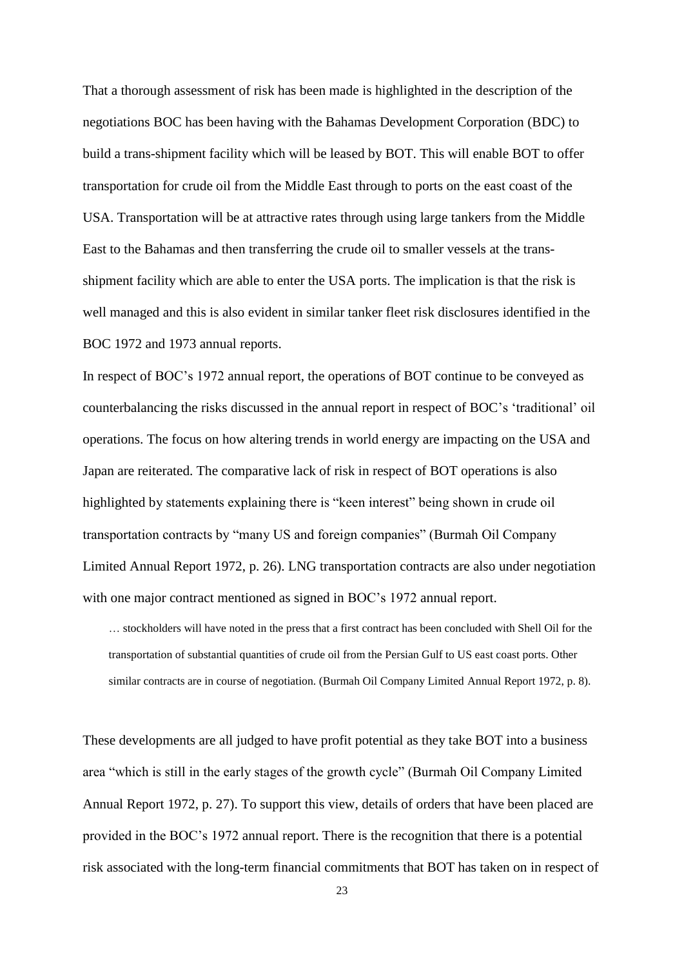That a thorough assessment of risk has been made is highlighted in the description of the negotiations BOC has been having with the Bahamas Development Corporation (BDC) to build a trans-shipment facility which will be leased by BOT. This will enable BOT to offer transportation for crude oil from the Middle East through to ports on the east coast of the USA. Transportation will be at attractive rates through using large tankers from the Middle East to the Bahamas and then transferring the crude oil to smaller vessels at the transshipment facility which are able to enter the USA ports. The implication is that the risk is well managed and this is also evident in similar tanker fleet risk disclosures identified in the BOC 1972 and 1973 annual reports.

In respect of BOC's 1972 annual report, the operations of BOT continue to be conveyed as counterbalancing the risks discussed in the annual report in respect of BOC's 'traditional' oil operations. The focus on how altering trends in world energy are impacting on the USA and Japan are reiterated. The comparative lack of risk in respect of BOT operations is also highlighted by statements explaining there is "keen interest" being shown in crude oil transportation contracts by "many US and foreign companies" (Burmah Oil Company Limited Annual Report 1972, p. 26). LNG transportation contracts are also under negotiation with one major contract mentioned as signed in BOC's 1972 annual report.

… stockholders will have noted in the press that a first contract has been concluded with Shell Oil for the transportation of substantial quantities of crude oil from the Persian Gulf to US east coast ports. Other similar contracts are in course of negotiation. (Burmah Oil Company Limited Annual Report 1972, p. 8).

These developments are all judged to have profit potential as they take BOT into a business area "which is still in the early stages of the growth cycle" (Burmah Oil Company Limited Annual Report 1972, p. 27). To support this view, details of orders that have been placed are provided in the BOC's 1972 annual report. There is the recognition that there is a potential risk associated with the long-term financial commitments that BOT has taken on in respect of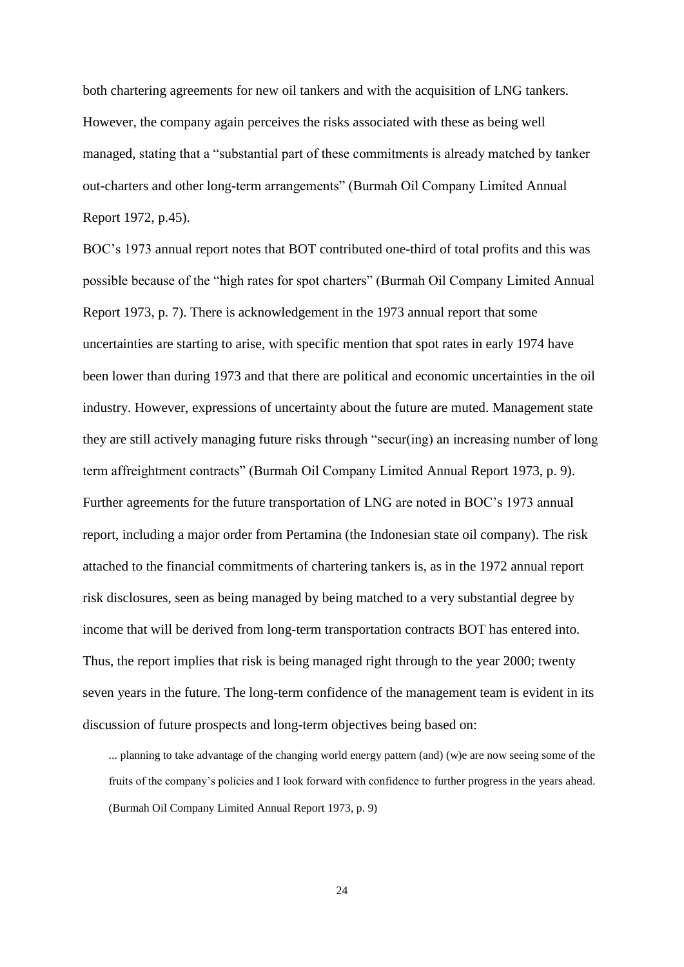both chartering agreements for new oil tankers and with the acquisition of LNG tankers. However, the company again perceives the risks associated with these as being well managed, stating that a "substantial part of these commitments is already matched by tanker out-charters and other long-term arrangements" (Burmah Oil Company Limited Annual Report 1972, p.45).

BOC's 1973 annual report notes that BOT contributed one-third of total profits and this was possible because of the "high rates for spot charters" (Burmah Oil Company Limited Annual Report 1973, p. 7). There is acknowledgement in the 1973 annual report that some uncertainties are starting to arise, with specific mention that spot rates in early 1974 have been lower than during 1973 and that there are political and economic uncertainties in the oil industry. However, expressions of uncertainty about the future are muted. Management state they are still actively managing future risks through "secur(ing) an increasing number of long term affreightment contracts" (Burmah Oil Company Limited Annual Report 1973, p. 9). Further agreements for the future transportation of LNG are noted in BOC's 1973 annual report, including a major order from Pertamina (the Indonesian state oil company). The risk attached to the financial commitments of chartering tankers is, as in the 1972 annual report risk disclosures, seen as being managed by being matched to a very substantial degree by income that will be derived from long-term transportation contracts BOT has entered into. Thus, the report implies that risk is being managed right through to the year 2000; twenty seven years in the future. The long-term confidence of the management team is evident in its discussion of future prospects and long-term objectives being based on:

... planning to take advantage of the changing world energy pattern (and) (w)e are now seeing some of the fruits of the company's policies and I look forward with confidence to further progress in the years ahead. (Burmah Oil Company Limited Annual Report 1973, p. 9)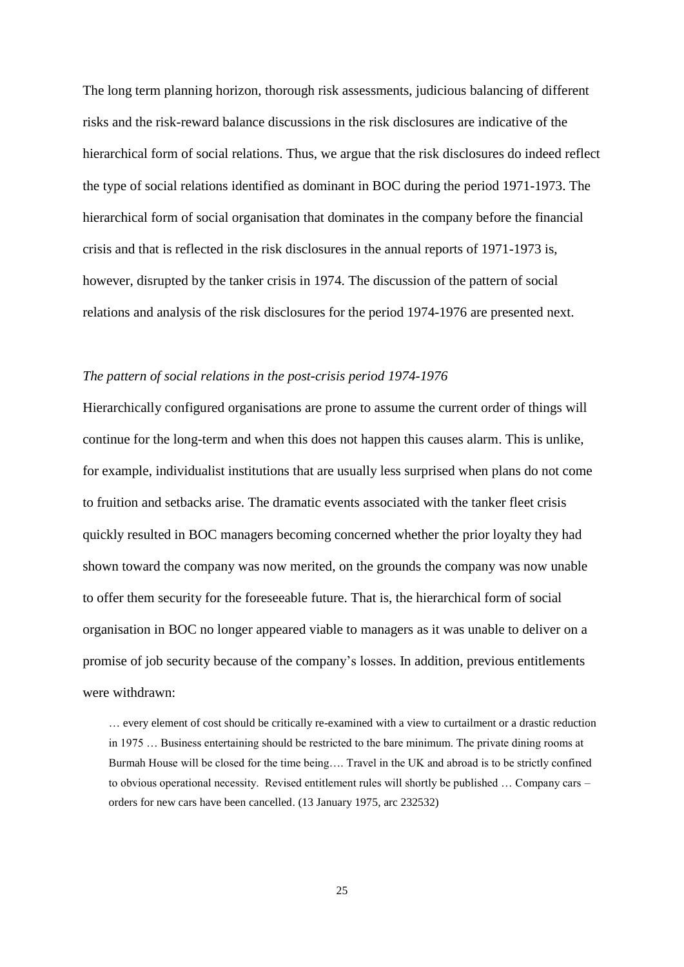The long term planning horizon, thorough risk assessments, judicious balancing of different risks and the risk-reward balance discussions in the risk disclosures are indicative of the hierarchical form of social relations. Thus, we argue that the risk disclosures do indeed reflect the type of social relations identified as dominant in BOC during the period 1971-1973. The hierarchical form of social organisation that dominates in the company before the financial crisis and that is reflected in the risk disclosures in the annual reports of 1971-1973 is, however, disrupted by the tanker crisis in 1974. The discussion of the pattern of social relations and analysis of the risk disclosures for the period 1974-1976 are presented next.

#### *The pattern of social relations in the post-crisis period 1974-1976*

Hierarchically configured organisations are prone to assume the current order of things will continue for the long-term and when this does not happen this causes alarm. This is unlike, for example, individualist institutions that are usually less surprised when plans do not come to fruition and setbacks arise. The dramatic events associated with the tanker fleet crisis quickly resulted in BOC managers becoming concerned whether the prior loyalty they had shown toward the company was now merited, on the grounds the company was now unable to offer them security for the foreseeable future. That is, the hierarchical form of social organisation in BOC no longer appeared viable to managers as it was unable to deliver on a promise of job security because of the company's losses. In addition, previous entitlements were withdrawn:

… every element of cost should be critically re-examined with a view to curtailment or a drastic reduction in 1975 … Business entertaining should be restricted to the bare minimum. The private dining rooms at Burmah House will be closed for the time being…. Travel in the UK and abroad is to be strictly confined to obvious operational necessity. Revised entitlement rules will shortly be published … Company cars – orders for new cars have been cancelled. (13 January 1975, arc 232532)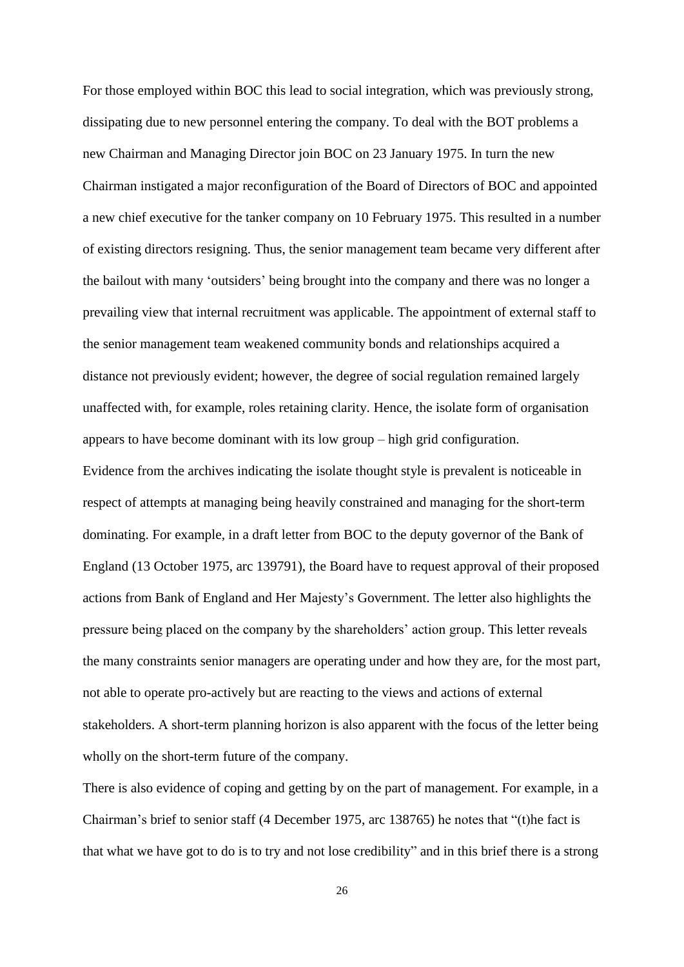For those employed within BOC this lead to social integration, which was previously strong, dissipating due to new personnel entering the company. To deal with the BOT problems a new Chairman and Managing Director join BOC on 23 January 1975. In turn the new Chairman instigated a major reconfiguration of the Board of Directors of BOC and appointed a new chief executive for the tanker company on 10 February 1975. This resulted in a number of existing directors resigning. Thus, the senior management team became very different after the bailout with many 'outsiders' being brought into the company and there was no longer a prevailing view that internal recruitment was applicable. The appointment of external staff to the senior management team weakened community bonds and relationships acquired a distance not previously evident; however, the degree of social regulation remained largely unaffected with, for example, roles retaining clarity. Hence, the isolate form of organisation appears to have become dominant with its low group – high grid configuration. Evidence from the archives indicating the isolate thought style is prevalent is noticeable in respect of attempts at managing being heavily constrained and managing for the short-term dominating. For example, in a draft letter from BOC to the deputy governor of the Bank of England (13 October 1975, arc 139791), the Board have to request approval of their proposed actions from Bank of England and Her Majesty's Government. The letter also highlights the pressure being placed on the company by the shareholders' action group. This letter reveals the many constraints senior managers are operating under and how they are, for the most part, not able to operate pro-actively but are reacting to the views and actions of external stakeholders. A short-term planning horizon is also apparent with the focus of the letter being wholly on the short-term future of the company.

There is also evidence of coping and getting by on the part of management. For example, in a Chairman's brief to senior staff (4 December 1975, arc 138765) he notes that "(t)he fact is that what we have got to do is to try and not lose credibility" and in this brief there is a strong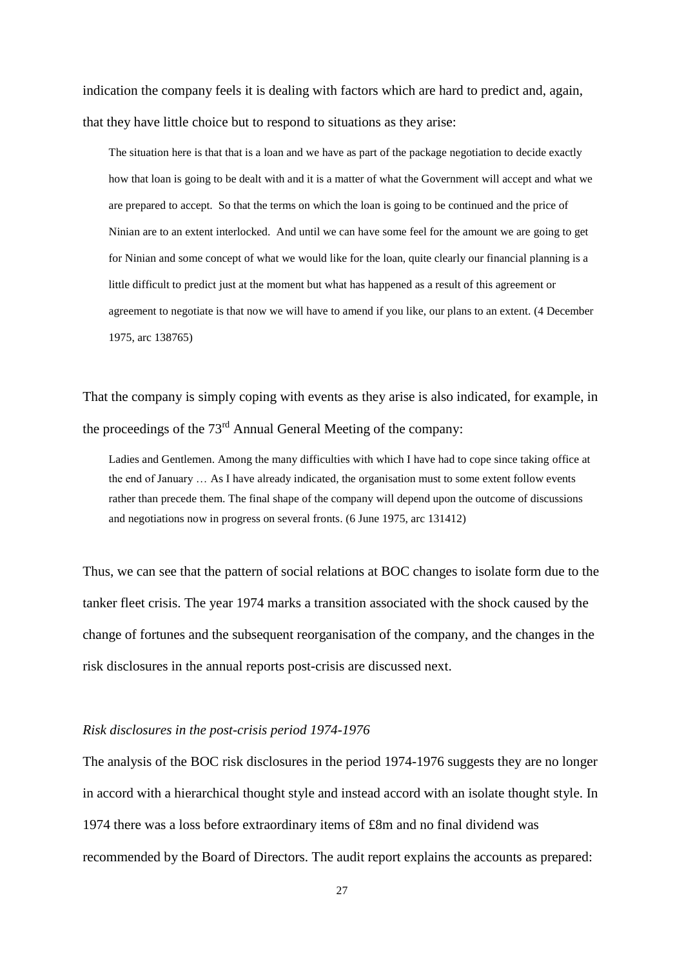indication the company feels it is dealing with factors which are hard to predict and, again, that they have little choice but to respond to situations as they arise:

The situation here is that that is a loan and we have as part of the package negotiation to decide exactly how that loan is going to be dealt with and it is a matter of what the Government will accept and what we are prepared to accept. So that the terms on which the loan is going to be continued and the price of Ninian are to an extent interlocked. And until we can have some feel for the amount we are going to get for Ninian and some concept of what we would like for the loan, quite clearly our financial planning is a little difficult to predict just at the moment but what has happened as a result of this agreement or agreement to negotiate is that now we will have to amend if you like, our plans to an extent. (4 December 1975, arc 138765)

That the company is simply coping with events as they arise is also indicated, for example, in the proceedings of the 73<sup>rd</sup> Annual General Meeting of the company:

Ladies and Gentlemen. Among the many difficulties with which I have had to cope since taking office at the end of January … As I have already indicated, the organisation must to some extent follow events rather than precede them. The final shape of the company will depend upon the outcome of discussions and negotiations now in progress on several fronts. (6 June 1975, arc 131412)

Thus, we can see that the pattern of social relations at BOC changes to isolate form due to the tanker fleet crisis. The year 1974 marks a transition associated with the shock caused by the change of fortunes and the subsequent reorganisation of the company, and the changes in the risk disclosures in the annual reports post-crisis are discussed next.

#### *Risk disclosures in the post-crisis period 1974-1976*

The analysis of the BOC risk disclosures in the period 1974-1976 suggests they are no longer in accord with a hierarchical thought style and instead accord with an isolate thought style. In 1974 there was a loss before extraordinary items of £8m and no final dividend was recommended by the Board of Directors. The audit report explains the accounts as prepared: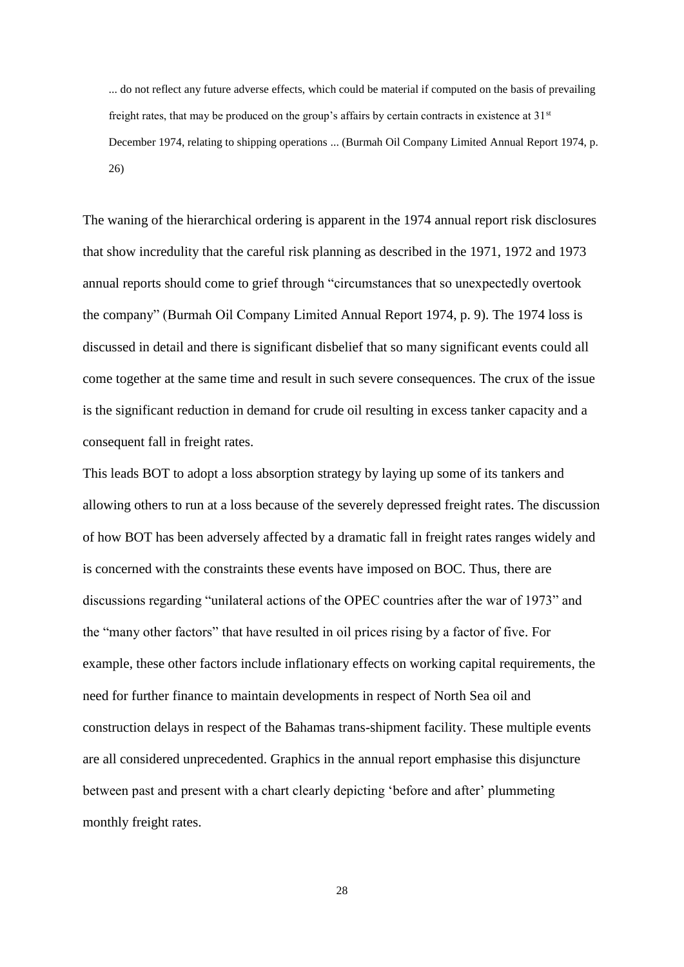... do not reflect any future adverse effects, which could be material if computed on the basis of prevailing freight rates, that may be produced on the group's affairs by certain contracts in existence at 31<sup>st</sup> December 1974, relating to shipping operations ... (Burmah Oil Company Limited Annual Report 1974, p. 26)

The waning of the hierarchical ordering is apparent in the 1974 annual report risk disclosures that show incredulity that the careful risk planning as described in the 1971, 1972 and 1973 annual reports should come to grief through "circumstances that so unexpectedly overtook the company" (Burmah Oil Company Limited Annual Report 1974, p. 9). The 1974 loss is discussed in detail and there is significant disbelief that so many significant events could all come together at the same time and result in such severe consequences. The crux of the issue is the significant reduction in demand for crude oil resulting in excess tanker capacity and a consequent fall in freight rates.

This leads BOT to adopt a loss absorption strategy by laying up some of its tankers and allowing others to run at a loss because of the severely depressed freight rates. The discussion of how BOT has been adversely affected by a dramatic fall in freight rates ranges widely and is concerned with the constraints these events have imposed on BOC. Thus, there are discussions regarding "unilateral actions of the OPEC countries after the war of 1973" and the "many other factors" that have resulted in oil prices rising by a factor of five. For example, these other factors include inflationary effects on working capital requirements, the need for further finance to maintain developments in respect of North Sea oil and construction delays in respect of the Bahamas trans-shipment facility. These multiple events are all considered unprecedented. Graphics in the annual report emphasise this disjuncture between past and present with a chart clearly depicting 'before and after' plummeting monthly freight rates.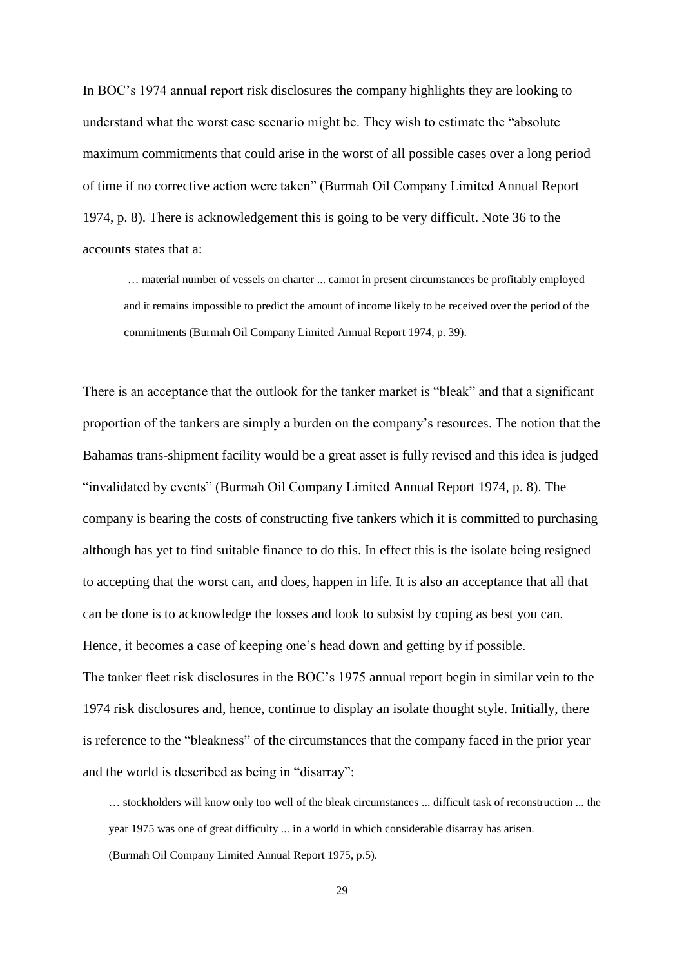In BOC's 1974 annual report risk disclosures the company highlights they are looking to understand what the worst case scenario might be. They wish to estimate the "absolute maximum commitments that could arise in the worst of all possible cases over a long period of time if no corrective action were taken" (Burmah Oil Company Limited Annual Report 1974, p. 8). There is acknowledgement this is going to be very difficult. Note 36 to the accounts states that a:

… material number of vessels on charter ... cannot in present circumstances be profitably employed and it remains impossible to predict the amount of income likely to be received over the period of the commitments (Burmah Oil Company Limited Annual Report 1974, p. 39).

There is an acceptance that the outlook for the tanker market is "bleak" and that a significant proportion of the tankers are simply a burden on the company's resources. The notion that the Bahamas trans-shipment facility would be a great asset is fully revised and this idea is judged "invalidated by events" (Burmah Oil Company Limited Annual Report 1974, p. 8). The company is bearing the costs of constructing five tankers which it is committed to purchasing although has yet to find suitable finance to do this. In effect this is the isolate being resigned to accepting that the worst can, and does, happen in life. It is also an acceptance that all that can be done is to acknowledge the losses and look to subsist by coping as best you can. Hence, it becomes a case of keeping one's head down and getting by if possible.

The tanker fleet risk disclosures in the BOC's 1975 annual report begin in similar vein to the 1974 risk disclosures and, hence, continue to display an isolate thought style. Initially, there is reference to the "bleakness" of the circumstances that the company faced in the prior year and the world is described as being in "disarray":

… stockholders will know only too well of the bleak circumstances ... difficult task of reconstruction ... the year 1975 was one of great difficulty ... in a world in which considerable disarray has arisen. (Burmah Oil Company Limited Annual Report 1975, p.5).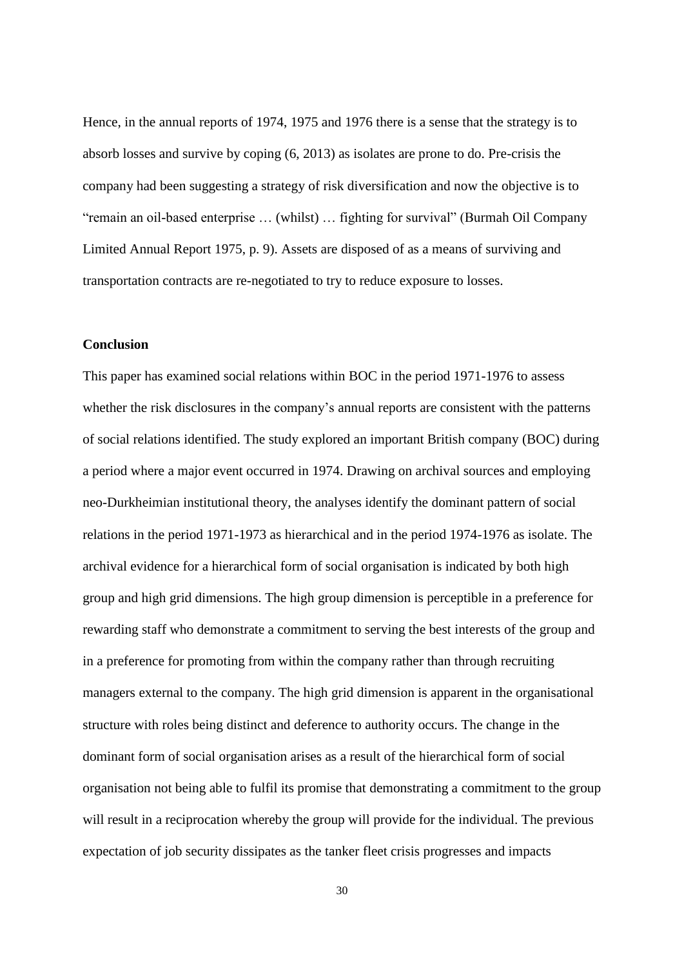Hence, in the annual reports of 1974, 1975 and 1976 there is a sense that the strategy is to absorb losses and survive by coping (6, 2013) as isolates are prone to do. Pre-crisis the company had been suggesting a strategy of risk diversification and now the objective is to "remain an oil-based enterprise … (whilst) … fighting for survival" (Burmah Oil Company Limited Annual Report 1975, p. 9). Assets are disposed of as a means of surviving and transportation contracts are re-negotiated to try to reduce exposure to losses.

#### **Conclusion**

This paper has examined social relations within BOC in the period 1971-1976 to assess whether the risk disclosures in the company's annual reports are consistent with the patterns of social relations identified. The study explored an important British company (BOC) during a period where a major event occurred in 1974. Drawing on archival sources and employing neo-Durkheimian institutional theory, the analyses identify the dominant pattern of social relations in the period 1971-1973 as hierarchical and in the period 1974-1976 as isolate. The archival evidence for a hierarchical form of social organisation is indicated by both high group and high grid dimensions. The high group dimension is perceptible in a preference for rewarding staff who demonstrate a commitment to serving the best interests of the group and in a preference for promoting from within the company rather than through recruiting managers external to the company. The high grid dimension is apparent in the organisational structure with roles being distinct and deference to authority occurs. The change in the dominant form of social organisation arises as a result of the hierarchical form of social organisation not being able to fulfil its promise that demonstrating a commitment to the group will result in a reciprocation whereby the group will provide for the individual. The previous expectation of job security dissipates as the tanker fleet crisis progresses and impacts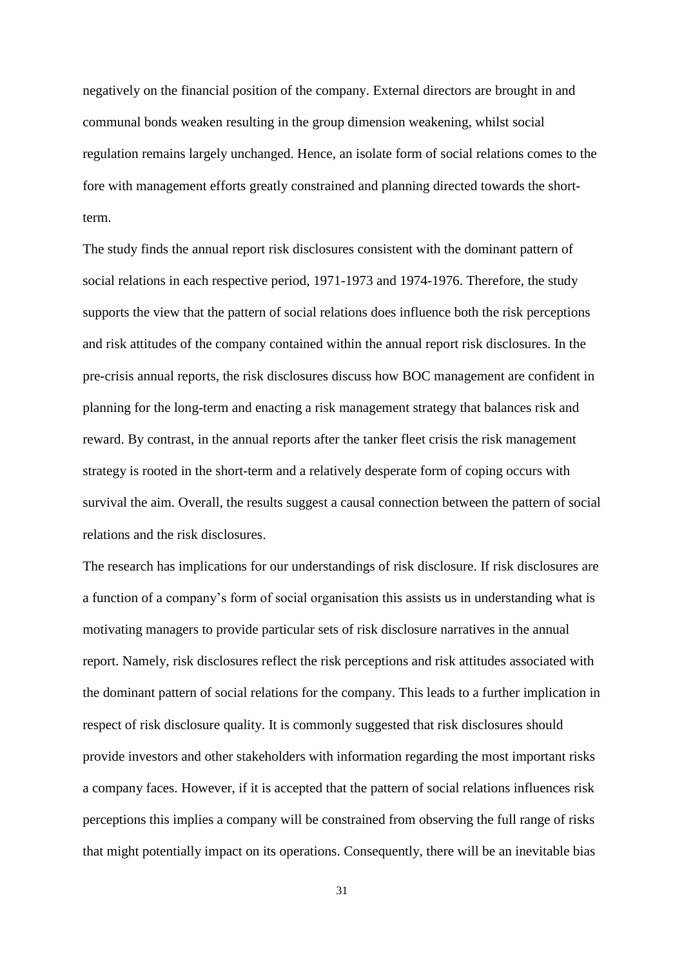negatively on the financial position of the company. External directors are brought in and communal bonds weaken resulting in the group dimension weakening, whilst social regulation remains largely unchanged. Hence, an isolate form of social relations comes to the fore with management efforts greatly constrained and planning directed towards the shortterm.

The study finds the annual report risk disclosures consistent with the dominant pattern of social relations in each respective period, 1971-1973 and 1974-1976. Therefore, the study supports the view that the pattern of social relations does influence both the risk perceptions and risk attitudes of the company contained within the annual report risk disclosures. In the pre-crisis annual reports, the risk disclosures discuss how BOC management are confident in planning for the long-term and enacting a risk management strategy that balances risk and reward. By contrast, in the annual reports after the tanker fleet crisis the risk management strategy is rooted in the short-term and a relatively desperate form of coping occurs with survival the aim. Overall, the results suggest a causal connection between the pattern of social relations and the risk disclosures.

The research has implications for our understandings of risk disclosure. If risk disclosures are a function of a company's form of social organisation this assists us in understanding what is motivating managers to provide particular sets of risk disclosure narratives in the annual report. Namely, risk disclosures reflect the risk perceptions and risk attitudes associated with the dominant pattern of social relations for the company. This leads to a further implication in respect of risk disclosure quality. It is commonly suggested that risk disclosures should provide investors and other stakeholders with information regarding the most important risks a company faces. However, if it is accepted that the pattern of social relations influences risk perceptions this implies a company will be constrained from observing the full range of risks that might potentially impact on its operations. Consequently, there will be an inevitable bias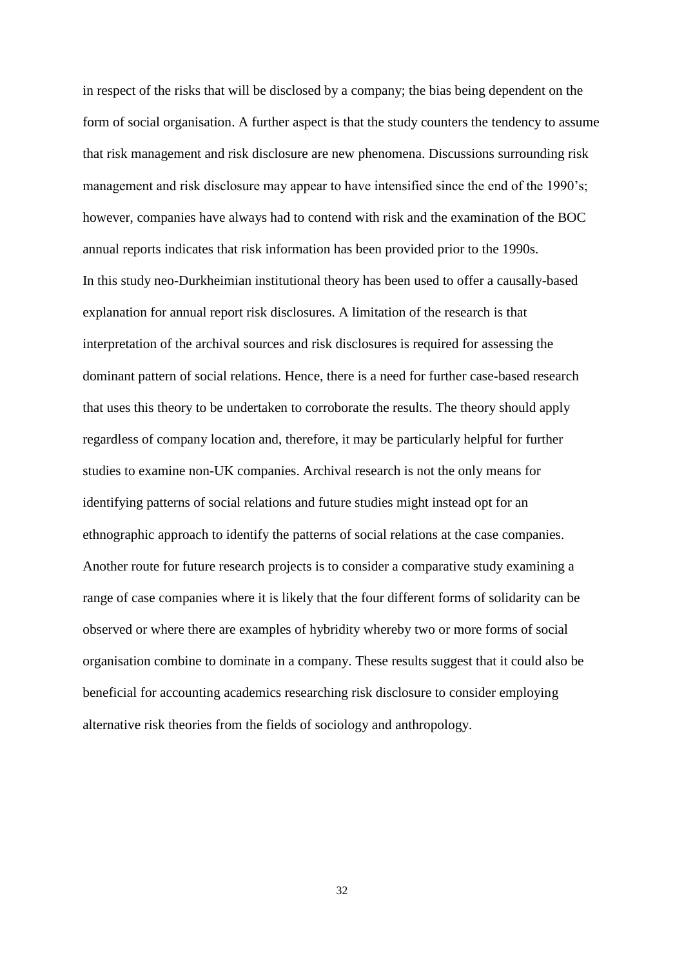in respect of the risks that will be disclosed by a company; the bias being dependent on the form of social organisation. A further aspect is that the study counters the tendency to assume that risk management and risk disclosure are new phenomena. Discussions surrounding risk management and risk disclosure may appear to have intensified since the end of the 1990's; however, companies have always had to contend with risk and the examination of the BOC annual reports indicates that risk information has been provided prior to the 1990s. In this study neo-Durkheimian institutional theory has been used to offer a causally-based explanation for annual report risk disclosures. A limitation of the research is that interpretation of the archival sources and risk disclosures is required for assessing the dominant pattern of social relations. Hence, there is a need for further case-based research that uses this theory to be undertaken to corroborate the results. The theory should apply regardless of company location and, therefore, it may be particularly helpful for further studies to examine non-UK companies. Archival research is not the only means for identifying patterns of social relations and future studies might instead opt for an ethnographic approach to identify the patterns of social relations at the case companies. Another route for future research projects is to consider a comparative study examining a range of case companies where it is likely that the four different forms of solidarity can be observed or where there are examples of hybridity whereby two or more forms of social organisation combine to dominate in a company. These results suggest that it could also be beneficial for accounting academics researching risk disclosure to consider employing alternative risk theories from the fields of sociology and anthropology.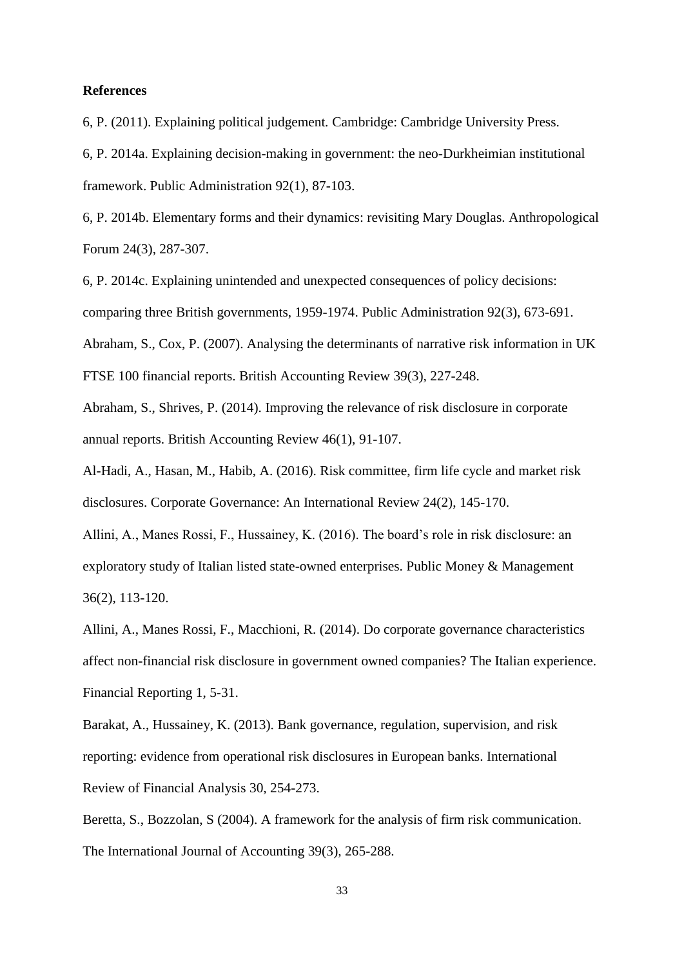#### **References**

6, P. (2011). Explaining political judgement*.* Cambridge: Cambridge University Press.

6, P. 2014a. Explaining decision-making in government: the neo-Durkheimian institutional framework. Public Administration 92(1), 87-103.

6, P. 2014b. Elementary forms and their dynamics: revisiting Mary Douglas. Anthropological Forum 24(3), 287-307.

6, P. 2014c. Explaining unintended and unexpected consequences of policy decisions: comparing three British governments, 1959-1974. Public Administration 92(3), 673-691. Abraham, S., Cox, P. (2007). Analysing the determinants of narrative risk information in UK FTSE 100 financial reports. British Accounting Review 39(3)*,* 227-248.

Abraham, S., Shrives, P. (2014). Improving the relevance of risk disclosure in corporate annual reports. British Accounting Review 46(1)*,* 91-107.

Al-Hadi, A., Hasan, M., Habib, A. (2016). Risk committee, firm life cycle and market risk disclosures. Corporate Governance: An International Review 24(2), 145-170.

Allini, A., Manes Rossi, F., Hussainey, K. (2016). The board's role in risk disclosure: an exploratory study of Italian listed state-owned enterprises. Public Money & Management 36(2), 113-120.

Allini, A., Manes Rossi, F., Macchioni, R. (2014). Do corporate governance characteristics affect non-financial risk disclosure in government owned companies? The Italian experience. Financial Reporting 1, 5-31.

Barakat, A., Hussainey, K. (2013). Bank governance, regulation, supervision, and risk reporting: evidence from operational risk disclosures in European banks. International Review of Financial Analysis 30, 254-273.

Beretta, S., Bozzolan, S (2004). A framework for the analysis of firm risk communication. The International Journal of Accounting 39(3)*,* 265-288.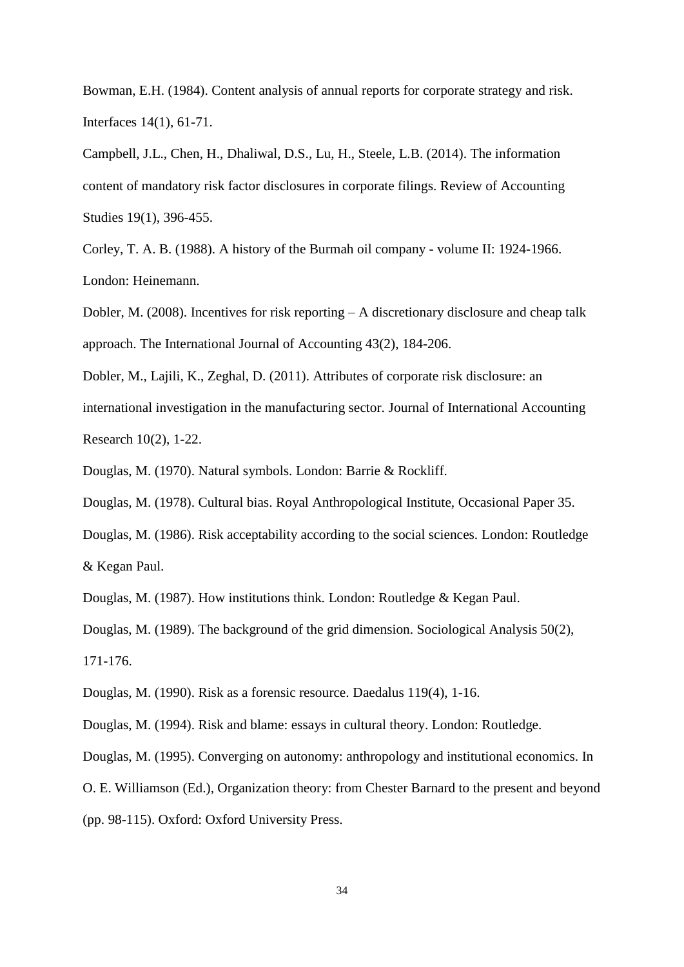Bowman, E.H. (1984). Content analysis of annual reports for corporate strategy and risk. Interfaces 14(1), 61-71.

Campbell, J.L., Chen, H., Dhaliwal, D.S., Lu, H., Steele, L.B. (2014). The information content of mandatory risk factor disclosures in corporate filings. Review of Accounting Studies 19(1), 396-455.

Corley, T. A. B. (1988). A history of the Burmah oil company - volume II: 1924-1966. London: Heinemann.

Dobler, M. (2008). Incentives for risk reporting – A discretionary disclosure and cheap talk approach. The International Journal of Accounting 43(2), 184-206.

Dobler, M., Lajili, K., Zeghal, D. (2011). Attributes of corporate risk disclosure: an international investigation in the manufacturing sector. Journal of International Accounting Research 10(2), 1-22.

Douglas, M. (1970). Natural symbols. London: Barrie & Rockliff.

Douglas, M. (1978). Cultural bias. Royal Anthropological Institute, Occasional Paper 35.

Douglas, M. (1986). Risk acceptability according to the social sciences. London: Routledge & Kegan Paul.

Douglas, M. (1987). How institutions think*.* London: Routledge & Kegan Paul.

Douglas, M. (1989). The background of the grid dimension. Sociological Analysis 50(2),

171-176.

Douglas, M. (1990). Risk as a forensic resource. Daedalus 119(4), 1-16.

Douglas, M. (1994). Risk and blame: essays in cultural theory. London: Routledge.

Douglas, M. (1995). Converging on autonomy: anthropology and institutional economics. In

O. E. Williamson (Ed.), Organization theory: from Chester Barnard to the present and beyond

(pp. 98-115). Oxford: Oxford University Press.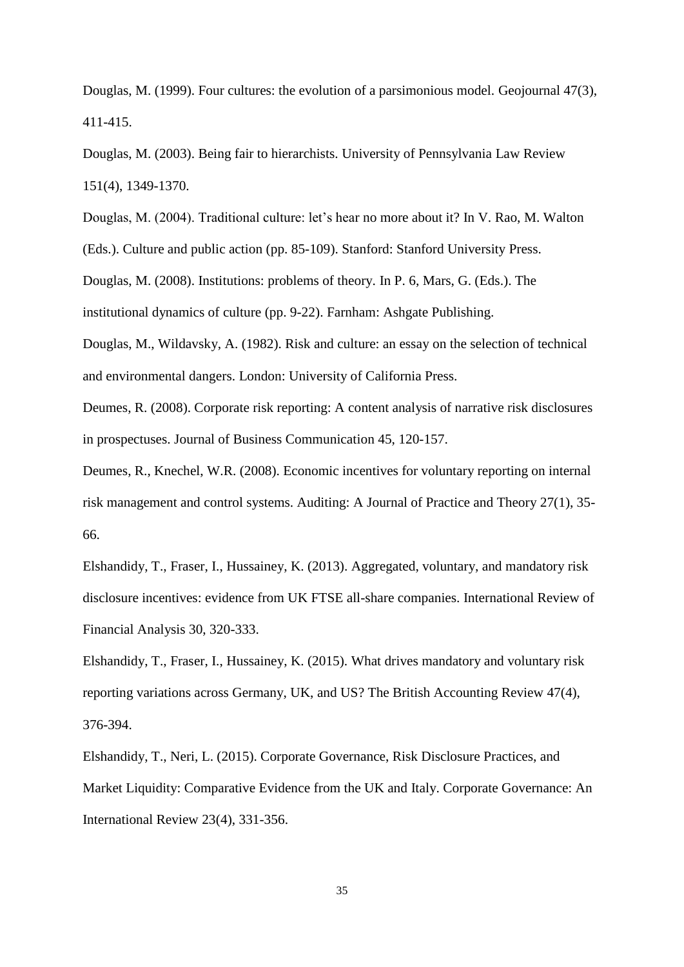Douglas, M. (1999). Four cultures: the evolution of a parsimonious model. Geojournal 47(3), 411-415.

Douglas, M. (2003). Being fair to hierarchists. University of Pennsylvania Law Review 151(4), 1349-1370.

Douglas, M. (2004). Traditional culture: let's hear no more about it? In V. Rao, M. Walton

(Eds.). Culture and public action (pp. 85-109). Stanford: Stanford University Press.

Douglas, M. (2008). Institutions: problems of theory. In P. 6, Mars, G. (Eds.). The

institutional dynamics of culture (pp. 9-22). Farnham: Ashgate Publishing.

Douglas, M., Wildavsky, A. (1982). Risk and culture: an essay on the selection of technical and environmental dangers. London: University of California Press.

Deumes, R. (2008). Corporate risk reporting: A content analysis of narrative risk disclosures in prospectuses. Journal of Business Communication 45, 120-157.

Deumes, R., Knechel, W.R. (2008). Economic incentives for voluntary reporting on internal risk management and control systems. Auditing: A Journal of Practice and Theory 27(1), 35- 66.

Elshandidy, T., Fraser, I., Hussainey, K. (2013). Aggregated, voluntary, and mandatory risk disclosure incentives: evidence from UK FTSE all-share companies. International Review of Financial Analysis 30, 320-333.

Elshandidy, T., Fraser, I., Hussainey, K. (2015). What drives mandatory and voluntary risk reporting variations across Germany, UK, and US? The British Accounting Review 47(4), 376-394.

Elshandidy, T., Neri, L. (2015). Corporate Governance, Risk Disclosure Practices, and Market Liquidity: Comparative Evidence from the UK and Italy. Corporate Governance: An International Review 23(4), 331-356.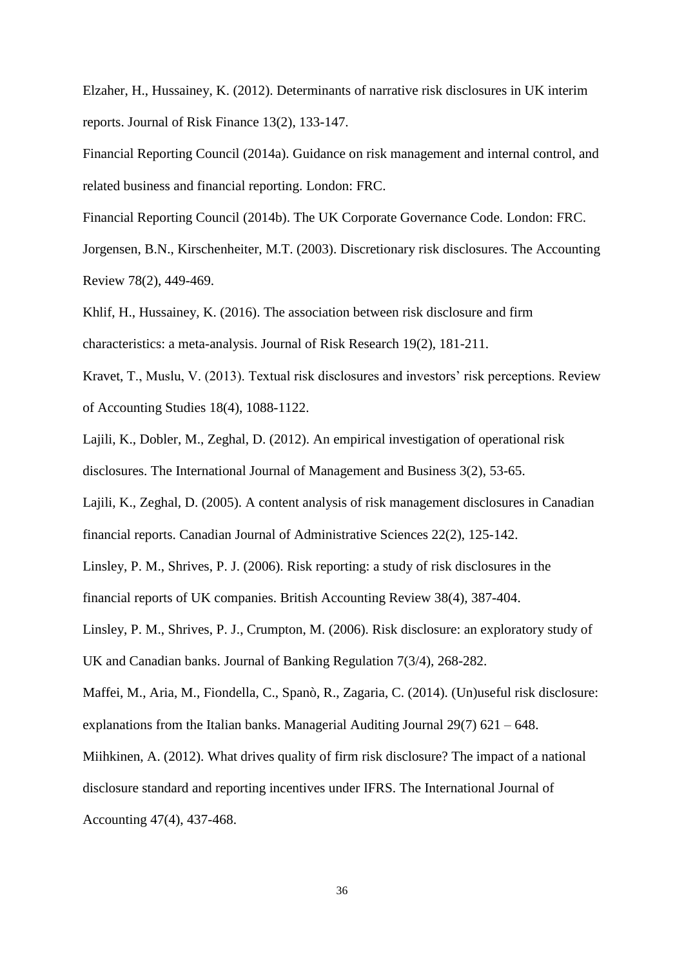Elzaher, H., Hussainey, K. (2012). Determinants of narrative risk disclosures in UK interim reports. Journal of Risk Finance 13(2), 133-147.

Financial Reporting Council (2014a). Guidance on risk management and internal control, and related business and financial reporting. London: FRC.

Financial Reporting Council (2014b). The UK Corporate Governance Code. London: FRC.

Jorgensen, B.N., Kirschenheiter, M.T. (2003). Discretionary risk disclosures. The Accounting Review 78(2), 449-469.

Khlif, H., Hussainey, K. (2016). The association between risk disclosure and firm characteristics: a meta-analysis. Journal of Risk Research 19(2), 181-211.

Kravet, T., Muslu, V. (2013). Textual risk disclosures and investors' risk perceptions. Review of Accounting Studies 18(4), 1088-1122.

Lajili, K., Dobler, M., Zeghal, D. (2012). An empirical investigation of operational risk disclosures. The International Journal of Management and Business 3(2), 53-65.

Lajili, K., Zeghal, D. (2005). A content analysis of risk management disclosures in Canadian financial reports. Canadian Journal of Administrative Sciences 22(2), 125-142.

Linsley, P. M., Shrives, P. J. (2006). Risk reporting: a study of risk disclosures in the

financial reports of UK companies. British Accounting Review 38(4)*,* 387-404.

Linsley, P. M., Shrives, P. J., Crumpton, M. (2006). Risk disclosure: an exploratory study of

UK and Canadian banks. Journal of Banking Regulation 7(3/4)*,* 268-282.

Maffei, M., Aria, M., Fiondella, C., Spanò, R., Zagaria, C. (2014). (Un)useful risk disclosure: explanations from the Italian banks. Managerial Auditing Journal 29(7) 621 – 648.

Miihkinen, A. (2012). What drives quality of firm risk disclosure? The impact of a national

disclosure standard and reporting incentives under IFRS. The International Journal of

Accounting 47(4), 437-468.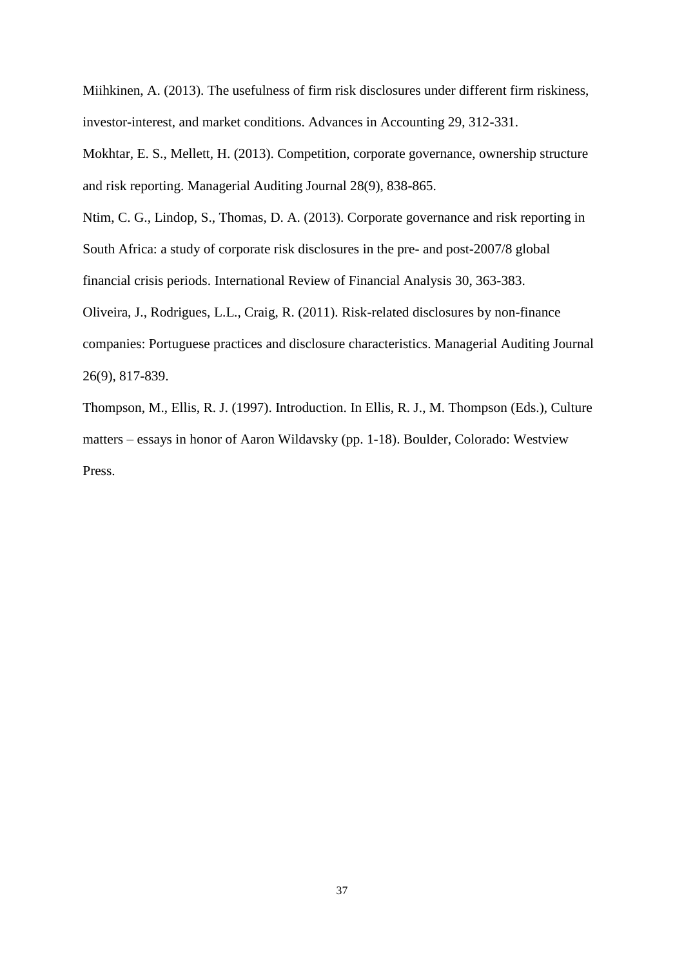Miihkinen, A. (2013). The usefulness of firm risk disclosures under different firm riskiness, investor-interest, and market conditions. Advances in Accounting 29, 312-331.

Mokhtar, E. S., Mellett, H. (2013). Competition, corporate governance, ownership structure and risk reporting. Managerial Auditing Journal 28(9), 838-865.

Ntim, C. G., Lindop, S., Thomas, D. A. (2013). Corporate governance and risk reporting in South Africa: a study of corporate risk disclosures in the pre- and post-2007/8 global financial crisis periods. International Review of Financial Analysis 30, 363-383.

Oliveira, J., Rodrigues, L.L., Craig, R. (2011). Risk-related disclosures by non-finance companies: Portuguese practices and disclosure characteristics. Managerial Auditing Journal 26(9), 817-839.

Thompson, M., Ellis, R. J. (1997). Introduction. In Ellis, R. J., M. Thompson (Eds.), Culture matters – essays in honor of Aaron Wildavsky (pp. 1-18). Boulder, Colorado: Westview Press.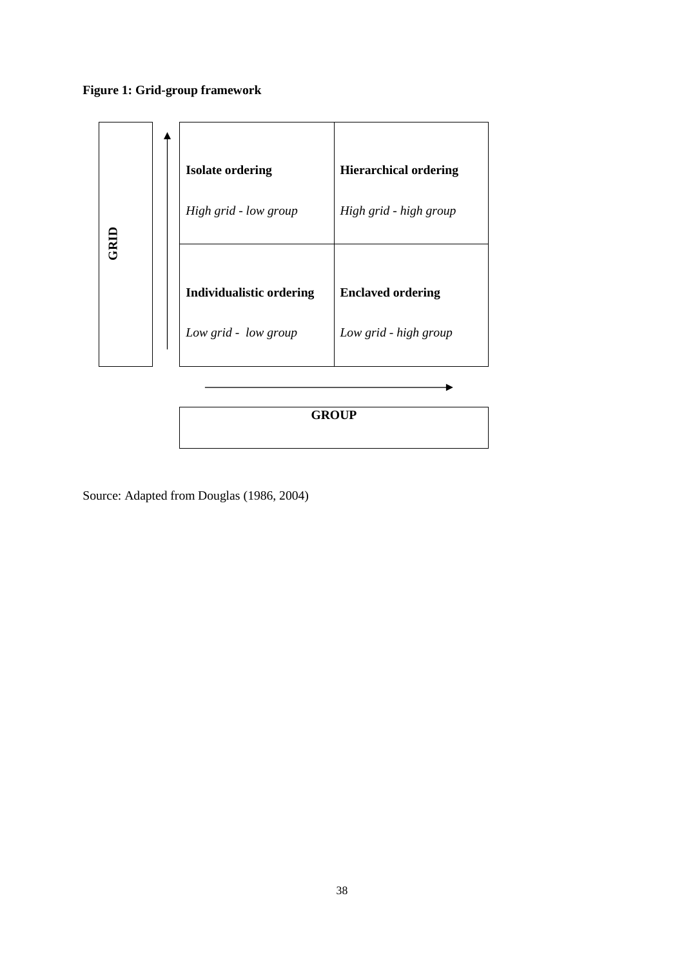# **Figure 1: Grid-group framework**